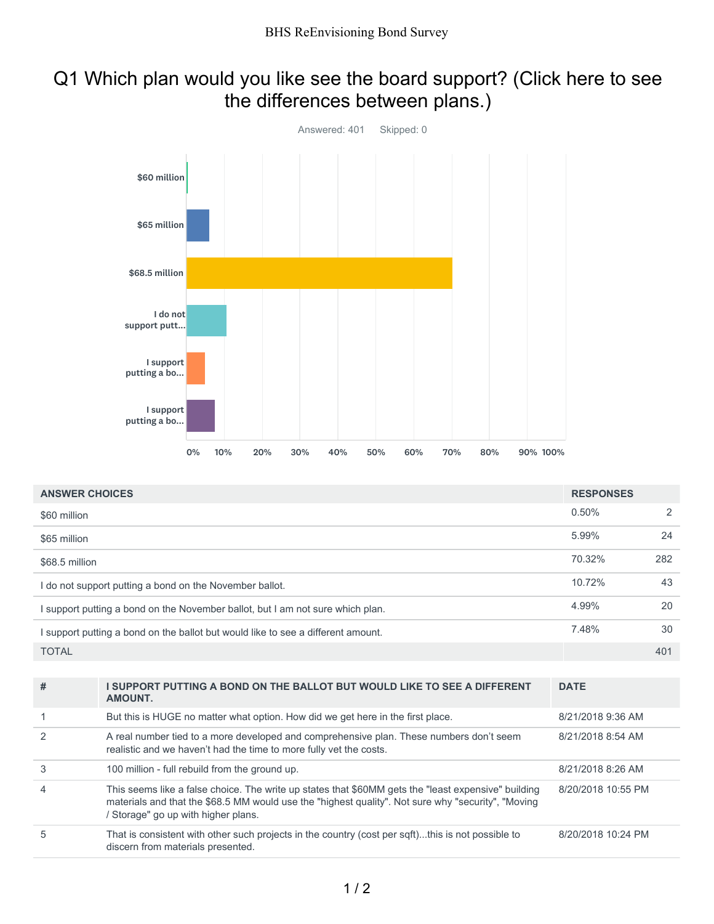# Q1 Which plan would you like see the board support? (Click here to see the differences between plans.)



| <b>ANSWER CHOICES</b>                                                            | <b>RESPONSES</b> |     |
|----------------------------------------------------------------------------------|------------------|-----|
| \$60 million                                                                     | 0.50%            | 2   |
| \$65 million                                                                     | 5.99%            | 24  |
| \$68.5 million                                                                   | 70.32%           | 282 |
| I do not support putting a bond on the November ballot.                          | 10.72%           | 43  |
| I support putting a bond on the November ballot, but I am not sure which plan.   | 4.99%            | 20  |
| I support putting a bond on the ballot but would like to see a different amount. | 7.48%            | 30  |
| <b>TOTAL</b>                                                                     |                  | 401 |

| #              | I SUPPORT PUTTING A BOND ON THE BALLOT BUT WOULD LIKE TO SEE A DIFFERENT<br>AMOUNT.                                                                                                                                                            | <b>DATE</b>        |
|----------------|------------------------------------------------------------------------------------------------------------------------------------------------------------------------------------------------------------------------------------------------|--------------------|
|                | But this is HUGE no matter what option. How did we get here in the first place.                                                                                                                                                                | 8/21/2018 9:36 AM  |
| $\mathcal{P}$  | A real number tied to a more developed and comprehensive plan. These numbers don't seem<br>realistic and we haven't had the time to more fully vet the costs.                                                                                  | 8/21/2018 8:54 AM  |
| 3              | 100 million - full rebuild from the ground up.                                                                                                                                                                                                 | 8/21/2018 8:26 AM  |
| $\overline{4}$ | This seems like a false choice. The write up states that \$60MM gets the "least expensive" building<br>materials and that the \$68.5 MM would use the "highest quality". Not sure why "security", "Moving<br>Storage" go up with higher plans. | 8/20/2018 10:55 PM |
| 5              | That is consistent with other such projects in the country (cost per sqft)this is not possible to<br>discern from materials presented.                                                                                                         | 8/20/2018 10:24 PM |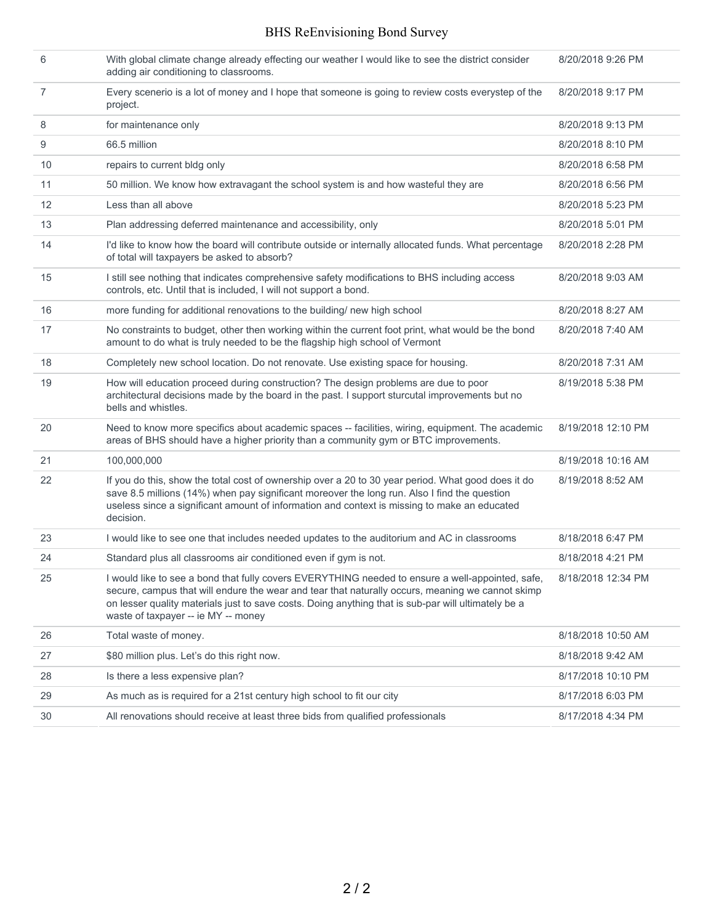| 6              | With global climate change already effecting our weather I would like to see the district consider<br>adding air conditioning to classrooms.                                                                                                                                                                                                       | 8/20/2018 9:26 PM  |
|----------------|----------------------------------------------------------------------------------------------------------------------------------------------------------------------------------------------------------------------------------------------------------------------------------------------------------------------------------------------------|--------------------|
| $\overline{7}$ | Every scenerio is a lot of money and I hope that someone is going to review costs everystep of the<br>project.                                                                                                                                                                                                                                     | 8/20/2018 9:17 PM  |
| 8              | for maintenance only                                                                                                                                                                                                                                                                                                                               | 8/20/2018 9:13 PM  |
| 9              | 66.5 million                                                                                                                                                                                                                                                                                                                                       | 8/20/2018 8:10 PM  |
| 10             | repairs to current bldg only                                                                                                                                                                                                                                                                                                                       | 8/20/2018 6:58 PM  |
| 11             | 50 million. We know how extravagant the school system is and how wasteful they are                                                                                                                                                                                                                                                                 | 8/20/2018 6:56 PM  |
| 12             | Less than all above                                                                                                                                                                                                                                                                                                                                | 8/20/2018 5:23 PM  |
| 13             | Plan addressing deferred maintenance and accessibility, only                                                                                                                                                                                                                                                                                       | 8/20/2018 5:01 PM  |
| 14             | I'd like to know how the board will contribute outside or internally allocated funds. What percentage<br>of total will taxpayers be asked to absorb?                                                                                                                                                                                               | 8/20/2018 2:28 PM  |
| 15             | I still see nothing that indicates comprehensive safety modifications to BHS including access<br>controls, etc. Until that is included, I will not support a bond.                                                                                                                                                                                 | 8/20/2018 9:03 AM  |
| 16             | more funding for additional renovations to the building/ new high school                                                                                                                                                                                                                                                                           | 8/20/2018 8:27 AM  |
| 17             | No constraints to budget, other then working within the current foot print, what would be the bond<br>amount to do what is truly needed to be the flagship high school of Vermont                                                                                                                                                                  | 8/20/2018 7:40 AM  |
| 18             | Completely new school location. Do not renovate. Use existing space for housing.                                                                                                                                                                                                                                                                   | 8/20/2018 7:31 AM  |
| 19             | How will education proceed during construction? The design problems are due to poor<br>architectural decisions made by the board in the past. I support sturcutal improvements but no<br>bells and whistles.                                                                                                                                       | 8/19/2018 5:38 PM  |
| 20             | Need to know more specifics about academic spaces -- facilities, wiring, equipment. The academic<br>areas of BHS should have a higher priority than a community gym or BTC improvements.                                                                                                                                                           | 8/19/2018 12:10 PM |
| 21             | 100,000,000                                                                                                                                                                                                                                                                                                                                        | 8/19/2018 10:16 AM |
| 22             | If you do this, show the total cost of ownership over a 20 to 30 year period. What good does it do<br>save 8.5 millions (14%) when pay significant moreover the long run. Also I find the question<br>useless since a significant amount of information and context is missing to make an educated<br>decision.                                    | 8/19/2018 8:52 AM  |
| 23             | I would like to see one that includes needed updates to the auditorium and AC in classrooms                                                                                                                                                                                                                                                        | 8/18/2018 6:47 PM  |
| 24             | Standard plus all classrooms air conditioned even if gym is not.                                                                                                                                                                                                                                                                                   | 8/18/2018 4:21 PM  |
| 25             | I would like to see a bond that fully covers EVERYTHING needed to ensure a well-appointed, safe,<br>secure, campus that will endure the wear and tear that naturally occurs, meaning we cannot skimp<br>on lesser quality materials just to save costs. Doing anything that is sub-par will ultimately be a<br>waste of taxpayer -- ie MY -- money | 8/18/2018 12:34 PM |
| 26             | Total waste of money.                                                                                                                                                                                                                                                                                                                              | 8/18/2018 10:50 AM |
| 27             | \$80 million plus. Let's do this right now.                                                                                                                                                                                                                                                                                                        | 8/18/2018 9:42 AM  |
| 28             | Is there a less expensive plan?                                                                                                                                                                                                                                                                                                                    | 8/17/2018 10:10 PM |
| 29             | As much as is required for a 21st century high school to fit our city                                                                                                                                                                                                                                                                              | 8/17/2018 6:03 PM  |
| 30             | All renovations should receive at least three bids from qualified professionals                                                                                                                                                                                                                                                                    | 8/17/2018 4:34 PM  |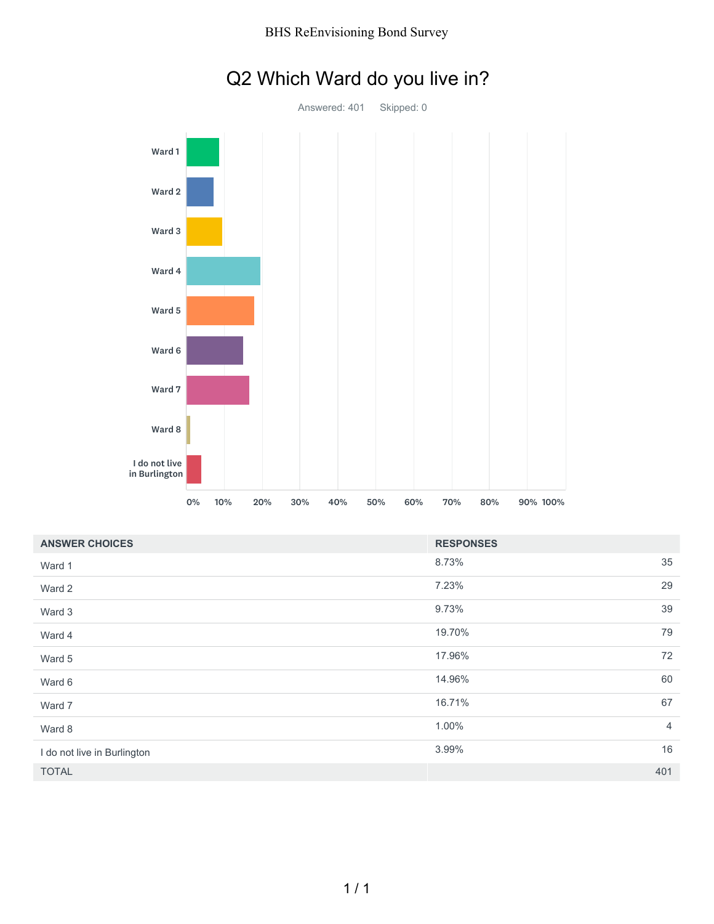

# Q2 Which Ward do you live in?

| <b>ANSWER CHOICES</b>       | <b>RESPONSES</b> |                |
|-----------------------------|------------------|----------------|
| Ward 1                      | 8.73%            | 35             |
| Ward 2                      | 7.23%            | 29             |
| Ward 3                      | 9.73%            | 39             |
| Ward 4                      | 19.70%           | 79             |
| Ward 5                      | 17.96%           | 72             |
| Ward 6                      | 14.96%           | 60             |
| Ward 7                      | 16.71%           | 67             |
| Ward 8                      | 1.00%            | $\overline{4}$ |
| I do not live in Burlington | 3.99%            | 16             |
| <b>TOTAL</b>                |                  | 401            |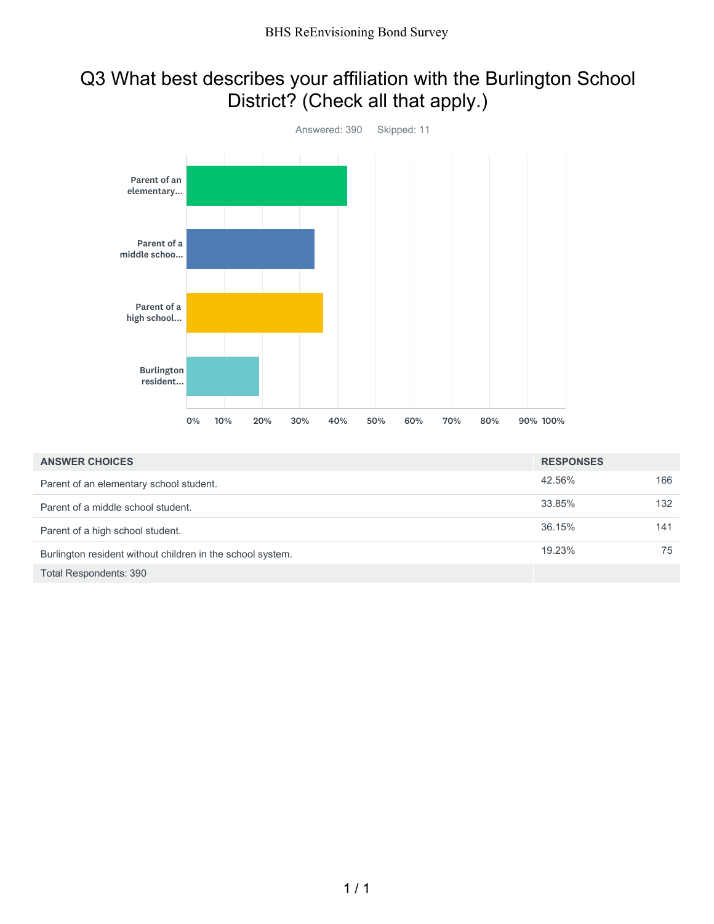# Q3 What best describes your affiliation with the Burlington School District? (Check all that apply.)



| <b>ANSWER CHOICES</b>                                      | <b>RESPONSES</b> |     |
|------------------------------------------------------------|------------------|-----|
| Parent of an elementary school student.                    | 42.56%           | 166 |
| Parent of a middle school student.                         | 33.85%           | 132 |
| Parent of a high school student.                           | 36.15%           | 141 |
| Burlington resident without children in the school system. | 19.23%           | 75  |
| Total Respondents: 390                                     |                  |     |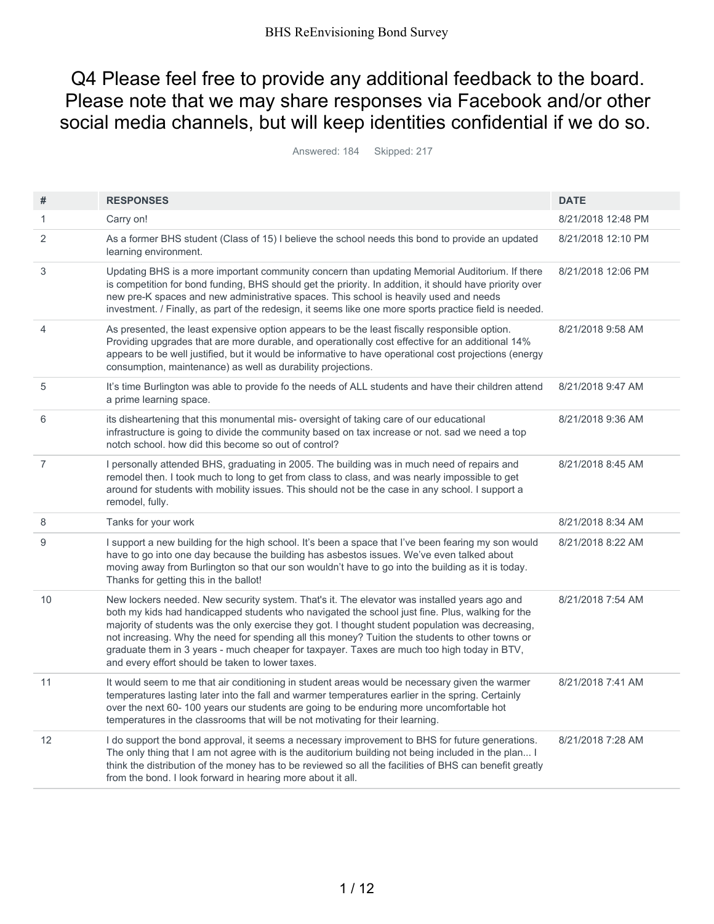## Q4 Please feel free to provide any additional feedback to the board. Please note that we may share responses via Facebook and/or other social media channels, but will keep identities confidential if we do so.

Answered: 184 Skipped: 217

| #              | <b>RESPONSES</b>                                                                                                                                                                                                                                                                                                                                                                                                                                                                                                                                            | <b>DATE</b>        |
|----------------|-------------------------------------------------------------------------------------------------------------------------------------------------------------------------------------------------------------------------------------------------------------------------------------------------------------------------------------------------------------------------------------------------------------------------------------------------------------------------------------------------------------------------------------------------------------|--------------------|
| 1              | Carry on!                                                                                                                                                                                                                                                                                                                                                                                                                                                                                                                                                   | 8/21/2018 12:48 PM |
| 2              | As a former BHS student (Class of 15) I believe the school needs this bond to provide an updated<br>learning environment.                                                                                                                                                                                                                                                                                                                                                                                                                                   | 8/21/2018 12:10 PM |
| 3              | Updating BHS is a more important community concern than updating Memorial Auditorium. If there<br>is competition for bond funding, BHS should get the priority. In addition, it should have priority over<br>new pre-K spaces and new administrative spaces. This school is heavily used and needs<br>investment. / Finally, as part of the redesign, it seems like one more sports practice field is needed.                                                                                                                                               | 8/21/2018 12:06 PM |
| 4              | As presented, the least expensive option appears to be the least fiscally responsible option.<br>Providing upgrades that are more durable, and operationally cost effective for an additional 14%<br>appears to be well justified, but it would be informative to have operational cost projections (energy<br>consumption, maintenance) as well as durability projections.                                                                                                                                                                                 | 8/21/2018 9:58 AM  |
| 5              | It's time Burlington was able to provide fo the needs of ALL students and have their children attend<br>a prime learning space.                                                                                                                                                                                                                                                                                                                                                                                                                             | 8/21/2018 9:47 AM  |
| 6              | its disheartening that this monumental mis- oversight of taking care of our educational<br>infrastructure is going to divide the community based on tax increase or not. sad we need a top<br>notch school, how did this become so out of control?                                                                                                                                                                                                                                                                                                          | 8/21/2018 9:36 AM  |
| $\overline{7}$ | I personally attended BHS, graduating in 2005. The building was in much need of repairs and<br>remodel then. I took much to long to get from class to class, and was nearly impossible to get<br>around for students with mobility issues. This should not be the case in any school. I support a<br>remodel, fully.                                                                                                                                                                                                                                        | 8/21/2018 8:45 AM  |
| 8              | Tanks for your work                                                                                                                                                                                                                                                                                                                                                                                                                                                                                                                                         | 8/21/2018 8:34 AM  |
| 9              | I support a new building for the high school. It's been a space that I've been fearing my son would<br>have to go into one day because the building has asbestos issues. We've even talked about<br>moving away from Burlington so that our son wouldn't have to go into the building as it is today.<br>Thanks for getting this in the ballot!                                                                                                                                                                                                             | 8/21/2018 8:22 AM  |
| 10             | New lockers needed. New security system. That's it. The elevator was installed years ago and<br>both my kids had handicapped students who navigated the school just fine. Plus, walking for the<br>majority of students was the only exercise they got. I thought student population was decreasing,<br>not increasing. Why the need for spending all this money? Tuition the students to other towns or<br>graduate them in 3 years - much cheaper for taxpayer. Taxes are much too high today in BTV,<br>and every effort should be taken to lower taxes. | 8/21/2018 7:54 AM  |
| 11             | It would seem to me that air conditioning in student areas would be necessary given the warmer<br>temperatures lasting later into the fall and warmer temperatures earlier in the spring. Certainly<br>over the next 60- 100 years our students are going to be enduring more uncomfortable hot<br>temperatures in the classrooms that will be not motivating for their learning.                                                                                                                                                                           | 8/21/2018 7:41 AM  |
| 12             | I do support the bond approval, it seems a necessary improvement to BHS for future generations.<br>The only thing that I am not agree with is the auditorium building not being included in the plan I<br>think the distribution of the money has to be reviewed so all the facilities of BHS can benefit greatly<br>from the bond. I look forward in hearing more about it all.                                                                                                                                                                            | 8/21/2018 7:28 AM  |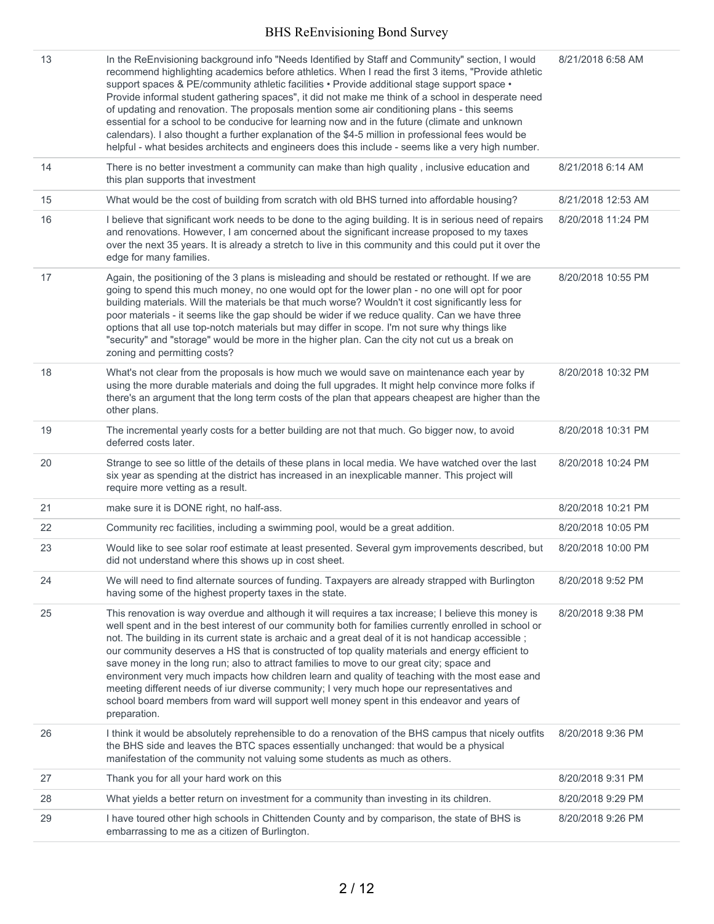| 13 | In the ReEnvisioning background info "Needs Identified by Staff and Community" section, I would<br>recommend highlighting academics before athletics. When I read the first 3 items, "Provide athletic<br>support spaces & PE/community athletic facilities • Provide additional stage support space •<br>Provide informal student gathering spaces", it did not make me think of a school in desperate need<br>of updating and renovation. The proposals mention some air conditioning plans - this seems<br>essential for a school to be conducive for learning now and in the future (climate and unknown<br>calendars). I also thought a further explanation of the \$4-5 million in professional fees would be<br>helpful - what besides architects and engineers does this include - seems like a very high number.              | 8/21/2018 6:58 AM  |
|----|----------------------------------------------------------------------------------------------------------------------------------------------------------------------------------------------------------------------------------------------------------------------------------------------------------------------------------------------------------------------------------------------------------------------------------------------------------------------------------------------------------------------------------------------------------------------------------------------------------------------------------------------------------------------------------------------------------------------------------------------------------------------------------------------------------------------------------------|--------------------|
| 14 | There is no better investment a community can make than high quality, inclusive education and<br>this plan supports that investment                                                                                                                                                                                                                                                                                                                                                                                                                                                                                                                                                                                                                                                                                                    | 8/21/2018 6:14 AM  |
| 15 | What would be the cost of building from scratch with old BHS turned into affordable housing?                                                                                                                                                                                                                                                                                                                                                                                                                                                                                                                                                                                                                                                                                                                                           | 8/21/2018 12:53 AM |
| 16 | I believe that significant work needs to be done to the aging building. It is in serious need of repairs<br>and renovations. However, I am concerned about the significant increase proposed to my taxes<br>over the next 35 years. It is already a stretch to live in this community and this could put it over the<br>edge for many families.                                                                                                                                                                                                                                                                                                                                                                                                                                                                                        | 8/20/2018 11:24 PM |
| 17 | Again, the positioning of the 3 plans is misleading and should be restated or rethought. If we are<br>going to spend this much money, no one would opt for the lower plan - no one will opt for poor<br>building materials. Will the materials be that much worse? Wouldn't it cost significantly less for<br>poor materials - it seems like the gap should be wider if we reduce quality. Can we have three<br>options that all use top-notch materials but may differ in scope. I'm not sure why things like<br>"security" and "storage" would be more in the higher plan. Can the city not cut us a break on<br>zoning and permitting costs?                                                                                                                                                                                        | 8/20/2018 10:55 PM |
| 18 | What's not clear from the proposals is how much we would save on maintenance each year by<br>using the more durable materials and doing the full upgrades. It might help convince more folks if<br>there's an argument that the long term costs of the plan that appears cheapest are higher than the<br>other plans.                                                                                                                                                                                                                                                                                                                                                                                                                                                                                                                  | 8/20/2018 10:32 PM |
| 19 | The incremental yearly costs for a better building are not that much. Go bigger now, to avoid<br>deferred costs later.                                                                                                                                                                                                                                                                                                                                                                                                                                                                                                                                                                                                                                                                                                                 | 8/20/2018 10:31 PM |
| 20 | Strange to see so little of the details of these plans in local media. We have watched over the last<br>six year as spending at the district has increased in an inexplicable manner. This project will<br>require more vetting as a result.                                                                                                                                                                                                                                                                                                                                                                                                                                                                                                                                                                                           | 8/20/2018 10:24 PM |
| 21 | make sure it is DONE right, no half-ass.                                                                                                                                                                                                                                                                                                                                                                                                                                                                                                                                                                                                                                                                                                                                                                                               | 8/20/2018 10:21 PM |
| 22 | Community rec facilities, including a swimming pool, would be a great addition.                                                                                                                                                                                                                                                                                                                                                                                                                                                                                                                                                                                                                                                                                                                                                        | 8/20/2018 10:05 PM |
| 23 | Would like to see solar roof estimate at least presented. Several gym improvements described, but<br>did not understand where this shows up in cost sheet.                                                                                                                                                                                                                                                                                                                                                                                                                                                                                                                                                                                                                                                                             | 8/20/2018 10:00 PM |
| 24 | We will need to find alternate sources of funding. Taxpayers are already strapped with Burlington<br>having some of the highest property taxes in the state.                                                                                                                                                                                                                                                                                                                                                                                                                                                                                                                                                                                                                                                                           | 8/20/2018 9:52 PM  |
| 25 | This renovation is way overdue and although it will requires a tax increase; I believe this money is<br>well spent and in the best interest of our community both for families currently enrolled in school or<br>not. The building in its current state is archaic and a great deal of it is not handicap accessible;<br>our community deserves a HS that is constructed of top quality materials and energy efficient to<br>save money in the long run; also to attract families to move to our great city; space and<br>environment very much impacts how children learn and quality of teaching with the most ease and<br>meeting different needs of iur diverse community; I very much hope our representatives and<br>school board members from ward will support well money spent in this endeavor and years of<br>preparation. | 8/20/2018 9:38 PM  |
| 26 | I think it would be absolutely reprehensible to do a renovation of the BHS campus that nicely outfits<br>the BHS side and leaves the BTC spaces essentially unchanged: that would be a physical<br>manifestation of the community not valuing some students as much as others.                                                                                                                                                                                                                                                                                                                                                                                                                                                                                                                                                         | 8/20/2018 9:36 PM  |
| 27 | Thank you for all your hard work on this                                                                                                                                                                                                                                                                                                                                                                                                                                                                                                                                                                                                                                                                                                                                                                                               | 8/20/2018 9:31 PM  |
| 28 | What yields a better return on investment for a community than investing in its children.                                                                                                                                                                                                                                                                                                                                                                                                                                                                                                                                                                                                                                                                                                                                              | 8/20/2018 9:29 PM  |
| 29 | I have toured other high schools in Chittenden County and by comparison, the state of BHS is<br>embarrassing to me as a citizen of Burlington.                                                                                                                                                                                                                                                                                                                                                                                                                                                                                                                                                                                                                                                                                         | 8/20/2018 9:26 PM  |
|    |                                                                                                                                                                                                                                                                                                                                                                                                                                                                                                                                                                                                                                                                                                                                                                                                                                        |                    |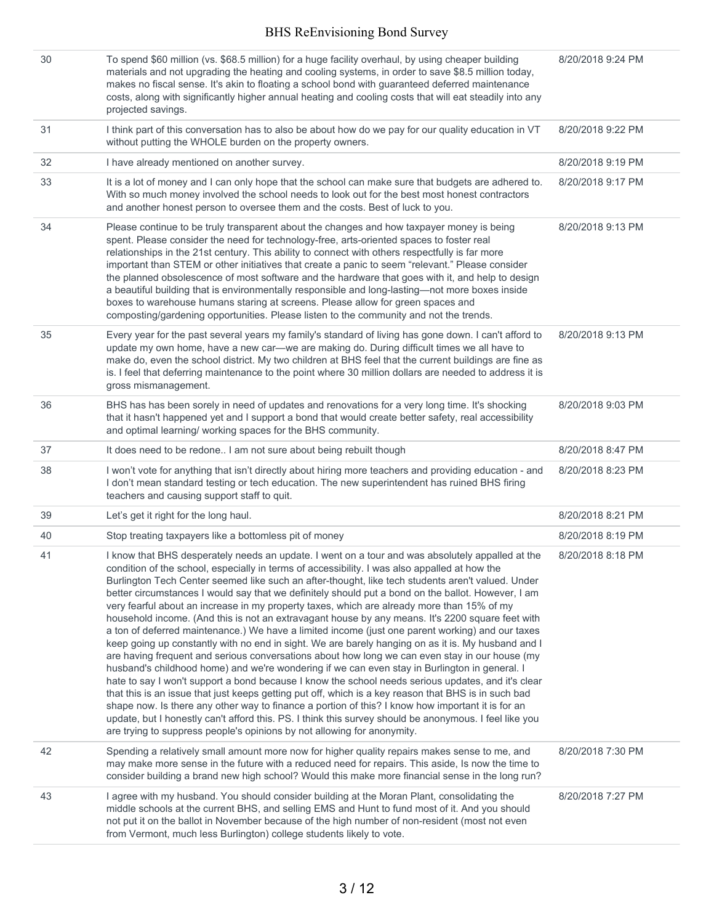| 30 | To spend \$60 million (vs. \$68.5 million) for a huge facility overhaul, by using cheaper building<br>materials and not upgrading the heating and cooling systems, in order to save \$8.5 million today,<br>makes no fiscal sense. It's akin to floating a school bond with guaranteed deferred maintenance<br>costs, along with significantly higher annual heating and cooling costs that will eat steadily into any<br>projected savings.                                                                                                                                                                                                                                                                                                                                                                                                                                                                                                                                                                                                                                                                                                                                                                                                                                                                                                                                                                                                                                                                                        | 8/20/2018 9:24 PM |
|----|-------------------------------------------------------------------------------------------------------------------------------------------------------------------------------------------------------------------------------------------------------------------------------------------------------------------------------------------------------------------------------------------------------------------------------------------------------------------------------------------------------------------------------------------------------------------------------------------------------------------------------------------------------------------------------------------------------------------------------------------------------------------------------------------------------------------------------------------------------------------------------------------------------------------------------------------------------------------------------------------------------------------------------------------------------------------------------------------------------------------------------------------------------------------------------------------------------------------------------------------------------------------------------------------------------------------------------------------------------------------------------------------------------------------------------------------------------------------------------------------------------------------------------------|-------------------|
| 31 | I think part of this conversation has to also be about how do we pay for our quality education in VT<br>without putting the WHOLE burden on the property owners.                                                                                                                                                                                                                                                                                                                                                                                                                                                                                                                                                                                                                                                                                                                                                                                                                                                                                                                                                                                                                                                                                                                                                                                                                                                                                                                                                                    | 8/20/2018 9:22 PM |
| 32 | I have already mentioned on another survey.                                                                                                                                                                                                                                                                                                                                                                                                                                                                                                                                                                                                                                                                                                                                                                                                                                                                                                                                                                                                                                                                                                                                                                                                                                                                                                                                                                                                                                                                                         | 8/20/2018 9:19 PM |
| 33 | It is a lot of money and I can only hope that the school can make sure that budgets are adhered to.<br>With so much money involved the school needs to look out for the best most honest contractors<br>and another honest person to oversee them and the costs. Best of luck to you.                                                                                                                                                                                                                                                                                                                                                                                                                                                                                                                                                                                                                                                                                                                                                                                                                                                                                                                                                                                                                                                                                                                                                                                                                                               | 8/20/2018 9:17 PM |
| 34 | Please continue to be truly transparent about the changes and how taxpayer money is being<br>spent. Please consider the need for technology-free, arts-oriented spaces to foster real<br>relationships in the 21st century. This ability to connect with others respectfully is far more<br>important than STEM or other initiatives that create a panic to seem "relevant." Please consider<br>the planned obsolescence of most software and the hardware that goes with it, and help to design<br>a beautiful building that is environmentally responsible and long-lasting-not more boxes inside<br>boxes to warehouse humans staring at screens. Please allow for green spaces and<br>composting/gardening opportunities. Please listen to the community and not the trends.                                                                                                                                                                                                                                                                                                                                                                                                                                                                                                                                                                                                                                                                                                                                                    | 8/20/2018 9:13 PM |
| 35 | Every year for the past several years my family's standard of living has gone down. I can't afford to<br>update my own home, have a new car-we are making do. During difficult times we all have to<br>make do, even the school district. My two children at BHS feel that the current buildings are fine as<br>is. I feel that deferring maintenance to the point where 30 million dollars are needed to address it is<br>gross mismanagement.                                                                                                                                                                                                                                                                                                                                                                                                                                                                                                                                                                                                                                                                                                                                                                                                                                                                                                                                                                                                                                                                                     | 8/20/2018 9:13 PM |
| 36 | BHS has has been sorely in need of updates and renovations for a very long time. It's shocking<br>that it hasn't happened yet and I support a bond that would create better safety, real accessibility<br>and optimal learning/ working spaces for the BHS community.                                                                                                                                                                                                                                                                                                                                                                                                                                                                                                                                                                                                                                                                                                                                                                                                                                                                                                                                                                                                                                                                                                                                                                                                                                                               | 8/20/2018 9:03 PM |
| 37 | It does need to be redone I am not sure about being rebuilt though                                                                                                                                                                                                                                                                                                                                                                                                                                                                                                                                                                                                                                                                                                                                                                                                                                                                                                                                                                                                                                                                                                                                                                                                                                                                                                                                                                                                                                                                  | 8/20/2018 8:47 PM |
| 38 | I won't vote for anything that isn't directly about hiring more teachers and providing education - and<br>I don't mean standard testing or tech education. The new superintendent has ruined BHS firing<br>teachers and causing support staff to quit.                                                                                                                                                                                                                                                                                                                                                                                                                                                                                                                                                                                                                                                                                                                                                                                                                                                                                                                                                                                                                                                                                                                                                                                                                                                                              | 8/20/2018 8:23 PM |
| 39 | Let's get it right for the long haul.                                                                                                                                                                                                                                                                                                                                                                                                                                                                                                                                                                                                                                                                                                                                                                                                                                                                                                                                                                                                                                                                                                                                                                                                                                                                                                                                                                                                                                                                                               | 8/20/2018 8:21 PM |
| 40 | Stop treating taxpayers like a bottomless pit of money                                                                                                                                                                                                                                                                                                                                                                                                                                                                                                                                                                                                                                                                                                                                                                                                                                                                                                                                                                                                                                                                                                                                                                                                                                                                                                                                                                                                                                                                              | 8/20/2018 8:19 PM |
| 41 | I know that BHS desperately needs an update. I went on a tour and was absolutely appalled at the<br>condition of the school, especially in terms of accessibility. I was also appalled at how the<br>Burlington Tech Center seemed like such an after-thought, like tech students aren't valued. Under<br>better circumstances I would say that we definitely should put a bond on the ballot. However, I am<br>very fearful about an increase in my property taxes, which are already more than 15% of my<br>household income. (And this is not an extravagant house by any means. It's 2200 square feet with<br>a ton of deferred maintenance.) We have a limited income (just one parent working) and our taxes<br>keep going up constantly with no end in sight. We are barely hanging on as it is. My husband and I<br>are having frequent and serious conversations about how long we can even stay in our house (my<br>husband's childhood home) and we're wondering if we can even stay in Burlington in general. I<br>hate to say I won't support a bond because I know the school needs serious updates, and it's clear<br>that this is an issue that just keeps getting put off, which is a key reason that BHS is in such bad<br>shape now. Is there any other way to finance a portion of this? I know how important it is for an<br>update, but I honestly can't afford this. PS. I think this survey should be anonymous. I feel like you<br>are trying to suppress people's opinions by not allowing for anonymity. | 8/20/2018 8:18 PM |
| 42 | Spending a relatively small amount more now for higher quality repairs makes sense to me, and<br>may make more sense in the future with a reduced need for repairs. This aside, Is now the time to<br>consider building a brand new high school? Would this make more financial sense in the long run?                                                                                                                                                                                                                                                                                                                                                                                                                                                                                                                                                                                                                                                                                                                                                                                                                                                                                                                                                                                                                                                                                                                                                                                                                              | 8/20/2018 7:30 PM |
| 43 | I agree with my husband. You should consider building at the Moran Plant, consolidating the<br>middle schools at the current BHS, and selling EMS and Hunt to fund most of it. And you should<br>not put it on the ballot in November because of the high number of non-resident (most not even<br>from Vermont, much less Burlington) college students likely to vote.                                                                                                                                                                                                                                                                                                                                                                                                                                                                                                                                                                                                                                                                                                                                                                                                                                                                                                                                                                                                                                                                                                                                                             | 8/20/2018 7:27 PM |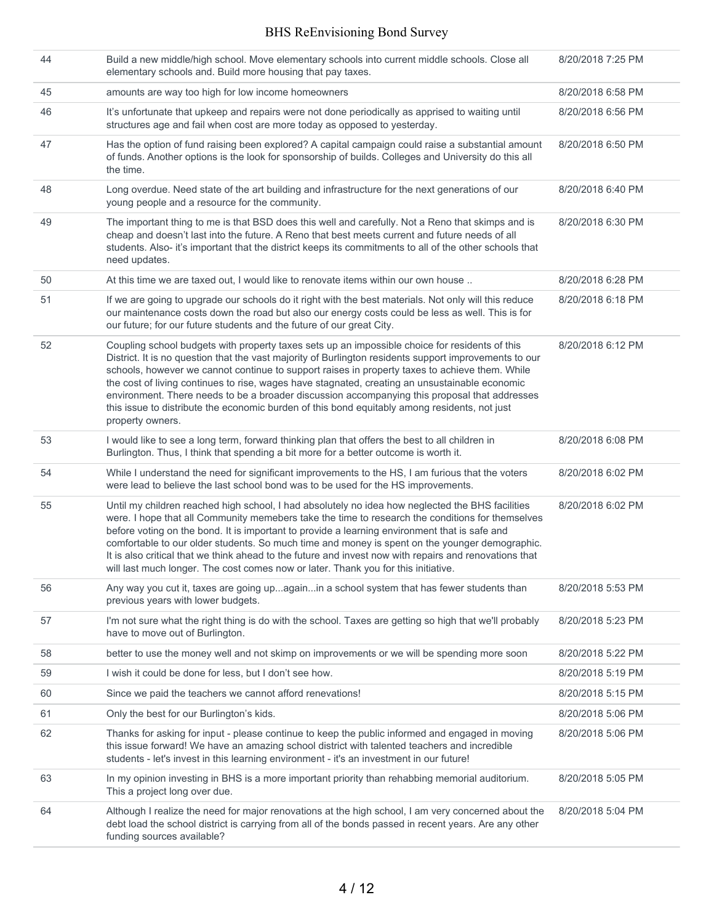| 44 | Build a new middle/high school. Move elementary schools into current middle schools. Close all<br>elementary schools and. Build more housing that pay taxes.                                                                                                                                                                                                                                                                                                                                                                                                                                                                       | 8/20/2018 7:25 PM |
|----|------------------------------------------------------------------------------------------------------------------------------------------------------------------------------------------------------------------------------------------------------------------------------------------------------------------------------------------------------------------------------------------------------------------------------------------------------------------------------------------------------------------------------------------------------------------------------------------------------------------------------------|-------------------|
| 45 | amounts are way too high for low income homeowners                                                                                                                                                                                                                                                                                                                                                                                                                                                                                                                                                                                 | 8/20/2018 6:58 PM |
| 46 | It's unfortunate that upkeep and repairs were not done periodically as apprised to waiting until<br>structures age and fail when cost are more today as opposed to yesterday.                                                                                                                                                                                                                                                                                                                                                                                                                                                      | 8/20/2018 6:56 PM |
| 47 | Has the option of fund raising been explored? A capital campaign could raise a substantial amount<br>of funds. Another options is the look for sponsorship of builds. Colleges and University do this all<br>the time.                                                                                                                                                                                                                                                                                                                                                                                                             | 8/20/2018 6:50 PM |
| 48 | Long overdue. Need state of the art building and infrastructure for the next generations of our<br>young people and a resource for the community.                                                                                                                                                                                                                                                                                                                                                                                                                                                                                  | 8/20/2018 6:40 PM |
| 49 | The important thing to me is that BSD does this well and carefully. Not a Reno that skimps and is<br>cheap and doesn't last into the future. A Reno that best meets current and future needs of all<br>students. Also- it's important that the district keeps its commitments to all of the other schools that<br>need updates.                                                                                                                                                                                                                                                                                                    | 8/20/2018 6:30 PM |
| 50 | At this time we are taxed out, I would like to renovate items within our own house                                                                                                                                                                                                                                                                                                                                                                                                                                                                                                                                                 | 8/20/2018 6:28 PM |
| 51 | If we are going to upgrade our schools do it right with the best materials. Not only will this reduce<br>our maintenance costs down the road but also our energy costs could be less as well. This is for<br>our future; for our future students and the future of our great City.                                                                                                                                                                                                                                                                                                                                                 | 8/20/2018 6:18 PM |
| 52 | Coupling school budgets with property taxes sets up an impossible choice for residents of this<br>District. It is no question that the vast majority of Burlington residents support improvements to our<br>schools, however we cannot continue to support raises in property taxes to achieve them. While<br>the cost of living continues to rise, wages have stagnated, creating an unsustainable economic<br>environment. There needs to be a broader discussion accompanying this proposal that addresses<br>this issue to distribute the economic burden of this bond equitably among residents, not just<br>property owners. | 8/20/2018 6:12 PM |
| 53 | I would like to see a long term, forward thinking plan that offers the best to all children in<br>Burlington. Thus, I think that spending a bit more for a better outcome is worth it.                                                                                                                                                                                                                                                                                                                                                                                                                                             | 8/20/2018 6:08 PM |
| 54 | While I understand the need for significant improvements to the HS, I am furious that the voters<br>were lead to believe the last school bond was to be used for the HS improvements.                                                                                                                                                                                                                                                                                                                                                                                                                                              | 8/20/2018 6:02 PM |
| 55 | Until my children reached high school, I had absolutely no idea how neglected the BHS facilities<br>were. I hope that all Community memebers take the time to research the conditions for themselves<br>before voting on the bond. It is important to provide a learning environment that is safe and<br>comfortable to our older students. So much time and money is spent on the younger demographic.<br>It is also critical that we think ahead to the future and invest now with repairs and renovations that<br>will last much longer. The cost comes now or later. Thank you for this initiative.                            | 8/20/2018 6:02 PM |
| 56 | Any way you cut it, taxes are going upagainin a school system that has fewer students than<br>previous years with lower budgets.                                                                                                                                                                                                                                                                                                                                                                                                                                                                                                   | 8/20/2018 5:53 PM |
| 57 | I'm not sure what the right thing is do with the school. Taxes are getting so high that we'll probably<br>have to move out of Burlington.                                                                                                                                                                                                                                                                                                                                                                                                                                                                                          | 8/20/2018 5:23 PM |
| 58 | better to use the money well and not skimp on improvements or we will be spending more soon                                                                                                                                                                                                                                                                                                                                                                                                                                                                                                                                        | 8/20/2018 5:22 PM |
| 59 | I wish it could be done for less, but I don't see how.                                                                                                                                                                                                                                                                                                                                                                                                                                                                                                                                                                             | 8/20/2018 5:19 PM |
| 60 | Since we paid the teachers we cannot afford renevations!                                                                                                                                                                                                                                                                                                                                                                                                                                                                                                                                                                           | 8/20/2018 5:15 PM |
| 61 | Only the best for our Burlington's kids.                                                                                                                                                                                                                                                                                                                                                                                                                                                                                                                                                                                           | 8/20/2018 5:06 PM |
| 62 | Thanks for asking for input - please continue to keep the public informed and engaged in moving<br>this issue forward! We have an amazing school district with talented teachers and incredible<br>students - let's invest in this learning environment - it's an investment in our future!                                                                                                                                                                                                                                                                                                                                        | 8/20/2018 5:06 PM |
| 63 | In my opinion investing in BHS is a more important priority than rehabbing memorial auditorium.<br>This a project long over due.                                                                                                                                                                                                                                                                                                                                                                                                                                                                                                   | 8/20/2018 5:05 PM |
| 64 | Although I realize the need for major renovations at the high school, I am very concerned about the<br>debt load the school district is carrying from all of the bonds passed in recent years. Are any other<br>funding sources available?                                                                                                                                                                                                                                                                                                                                                                                         | 8/20/2018 5:04 PM |
|    |                                                                                                                                                                                                                                                                                                                                                                                                                                                                                                                                                                                                                                    |                   |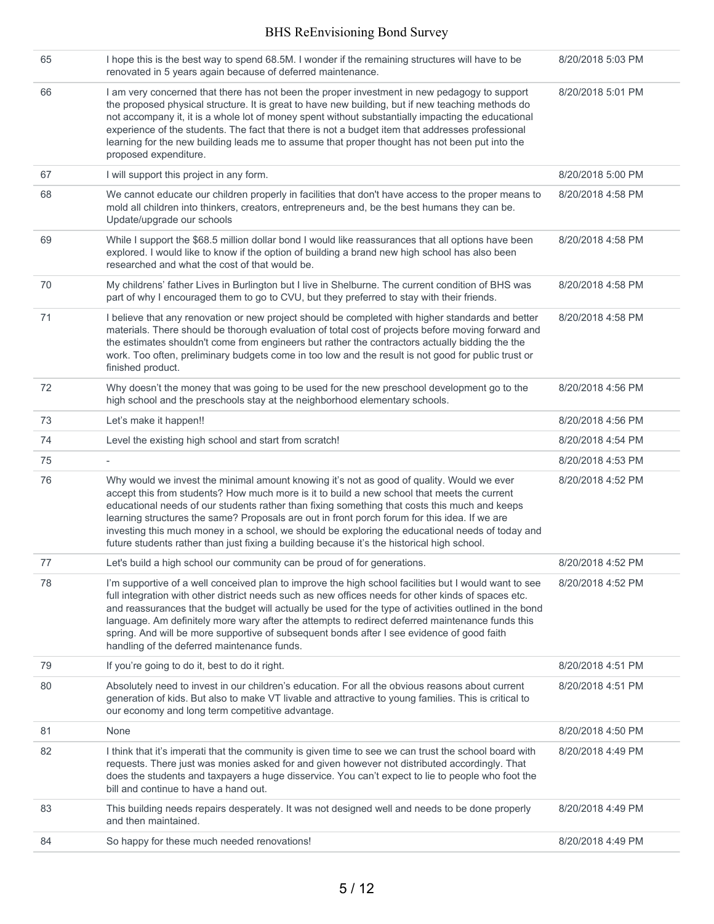| 65 | I hope this is the best way to spend 68.5M. I wonder if the remaining structures will have to be<br>renovated in 5 years again because of deferred maintenance.                                                                                                                                                                                                                                                                                                                                                                                                                               | 8/20/2018 5:03 PM |
|----|-----------------------------------------------------------------------------------------------------------------------------------------------------------------------------------------------------------------------------------------------------------------------------------------------------------------------------------------------------------------------------------------------------------------------------------------------------------------------------------------------------------------------------------------------------------------------------------------------|-------------------|
| 66 | I am very concerned that there has not been the proper investment in new pedagogy to support<br>the proposed physical structure. It is great to have new building, but if new teaching methods do<br>not accompany it, it is a whole lot of money spent without substantially impacting the educational<br>experience of the students. The fact that there is not a budget item that addresses professional<br>learning for the new building leads me to assume that proper thought has not been put into the<br>proposed expenditure.                                                        | 8/20/2018 5:01 PM |
| 67 | I will support this project in any form.                                                                                                                                                                                                                                                                                                                                                                                                                                                                                                                                                      | 8/20/2018 5:00 PM |
| 68 | We cannot educate our children properly in facilities that don't have access to the proper means to<br>mold all children into thinkers, creators, entrepreneurs and, be the best humans they can be.<br>Update/upgrade our schools                                                                                                                                                                                                                                                                                                                                                            | 8/20/2018 4:58 PM |
| 69 | While I support the \$68.5 million dollar bond I would like reassurances that all options have been<br>explored. I would like to know if the option of building a brand new high school has also been<br>researched and what the cost of that would be.                                                                                                                                                                                                                                                                                                                                       | 8/20/2018 4:58 PM |
| 70 | My childrens' father Lives in Burlington but I live in Shelburne. The current condition of BHS was<br>part of why I encouraged them to go to CVU, but they preferred to stay with their friends.                                                                                                                                                                                                                                                                                                                                                                                              | 8/20/2018 4:58 PM |
| 71 | I believe that any renovation or new project should be completed with higher standards and better<br>materials. There should be thorough evaluation of total cost of projects before moving forward and<br>the estimates shouldn't come from engineers but rather the contractors actually bidding the the<br>work. Too often, preliminary budgets come in too low and the result is not good for public trust or<br>finished product.                                                                                                                                                        | 8/20/2018 4:58 PM |
| 72 | Why doesn't the money that was going to be used for the new preschool development go to the<br>high school and the preschools stay at the neighborhood elementary schools.                                                                                                                                                                                                                                                                                                                                                                                                                    | 8/20/2018 4:56 PM |
| 73 | Let's make it happen!!                                                                                                                                                                                                                                                                                                                                                                                                                                                                                                                                                                        | 8/20/2018 4:56 PM |
| 74 | Level the existing high school and start from scratch!                                                                                                                                                                                                                                                                                                                                                                                                                                                                                                                                        | 8/20/2018 4:54 PM |
| 75 |                                                                                                                                                                                                                                                                                                                                                                                                                                                                                                                                                                                               | 8/20/2018 4:53 PM |
| 76 | Why would we invest the minimal amount knowing it's not as good of quality. Would we ever<br>accept this from students? How much more is it to build a new school that meets the current<br>educational needs of our students rather than fixing something that costs this much and keeps<br>learning structures the same? Proposals are out in front porch forum for this idea. If we are<br>investing this much money in a school, we should be exploring the educational needs of today and<br>future students rather than just fixing a building because it's the historical high school. | 8/20/2018 4:52 PM |
| 77 | Let's build a high school our community can be proud of for generations.                                                                                                                                                                                                                                                                                                                                                                                                                                                                                                                      | 8/20/2018 4:52 PM |
| 78 | I'm supportive of a well conceived plan to improve the high school facilities but I would want to see<br>full integration with other district needs such as new offices needs for other kinds of spaces etc.<br>and reassurances that the budget will actually be used for the type of activities outlined in the bond<br>language. Am definitely more wary after the attempts to redirect deferred maintenance funds this<br>spring. And will be more supportive of subsequent bonds after I see evidence of good faith<br>handling of the deferred maintenance funds.                       | 8/20/2018 4:52 PM |
| 79 | If you're going to do it, best to do it right.                                                                                                                                                                                                                                                                                                                                                                                                                                                                                                                                                | 8/20/2018 4:51 PM |
| 80 | Absolutely need to invest in our children's education. For all the obvious reasons about current<br>generation of kids. But also to make VT livable and attractive to young families. This is critical to<br>our economy and long term competitive advantage.                                                                                                                                                                                                                                                                                                                                 | 8/20/2018 4:51 PM |
| 81 | None                                                                                                                                                                                                                                                                                                                                                                                                                                                                                                                                                                                          | 8/20/2018 4:50 PM |
| 82 | I think that it's imperati that the community is given time to see we can trust the school board with<br>requests. There just was monies asked for and given however not distributed accordingly. That<br>does the students and taxpayers a huge disservice. You can't expect to lie to people who foot the<br>bill and continue to have a hand out.                                                                                                                                                                                                                                          | 8/20/2018 4:49 PM |
| 83 | This building needs repairs desperately. It was not designed well and needs to be done properly<br>and then maintained.                                                                                                                                                                                                                                                                                                                                                                                                                                                                       | 8/20/2018 4:49 PM |
| 84 | So happy for these much needed renovations!                                                                                                                                                                                                                                                                                                                                                                                                                                                                                                                                                   | 8/20/2018 4:49 PM |
|    |                                                                                                                                                                                                                                                                                                                                                                                                                                                                                                                                                                                               |                   |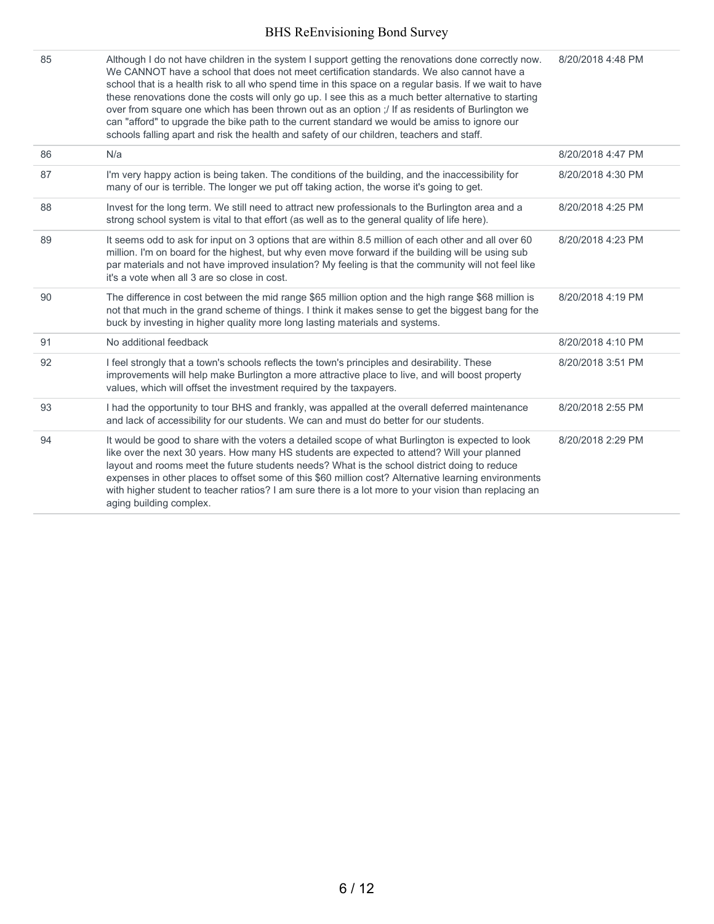| 85 | Although I do not have children in the system I support getting the renovations done correctly now.<br>We CANNOT have a school that does not meet certification standards. We also cannot have a<br>school that is a health risk to all who spend time in this space on a regular basis. If we wait to have<br>these renovations done the costs will only go up. I see this as a much better alternative to starting<br>over from square one which has been thrown out as an option ;/ If as residents of Burlington we<br>can "afford" to upgrade the bike path to the current standard we would be amiss to ignore our<br>schools falling apart and risk the health and safety of our children, teachers and staff. | 8/20/2018 4:48 PM |
|----|-----------------------------------------------------------------------------------------------------------------------------------------------------------------------------------------------------------------------------------------------------------------------------------------------------------------------------------------------------------------------------------------------------------------------------------------------------------------------------------------------------------------------------------------------------------------------------------------------------------------------------------------------------------------------------------------------------------------------|-------------------|
| 86 | N/a                                                                                                                                                                                                                                                                                                                                                                                                                                                                                                                                                                                                                                                                                                                   | 8/20/2018 4:47 PM |
| 87 | I'm very happy action is being taken. The conditions of the building, and the inaccessibility for<br>many of our is terrible. The longer we put off taking action, the worse it's going to get.                                                                                                                                                                                                                                                                                                                                                                                                                                                                                                                       | 8/20/2018 4:30 PM |
| 88 | Invest for the long term. We still need to attract new professionals to the Burlington area and a<br>strong school system is vital to that effort (as well as to the general quality of life here).                                                                                                                                                                                                                                                                                                                                                                                                                                                                                                                   | 8/20/2018 4:25 PM |
| 89 | It seems odd to ask for input on 3 options that are within 8.5 million of each other and all over 60<br>million. I'm on board for the highest, but why even move forward if the building will be using sub<br>par materials and not have improved insulation? My feeling is that the community will not feel like<br>it's a vote when all 3 are so close in cost.                                                                                                                                                                                                                                                                                                                                                     | 8/20/2018 4:23 PM |
| 90 | The difference in cost between the mid range \$65 million option and the high range \$68 million is<br>not that much in the grand scheme of things. I think it makes sense to get the biggest bang for the<br>buck by investing in higher quality more long lasting materials and systems.                                                                                                                                                                                                                                                                                                                                                                                                                            | 8/20/2018 4:19 PM |
| 91 | No additional feedback                                                                                                                                                                                                                                                                                                                                                                                                                                                                                                                                                                                                                                                                                                | 8/20/2018 4:10 PM |
| 92 | I feel strongly that a town's schools reflects the town's principles and desirability. These<br>improvements will help make Burlington a more attractive place to live, and will boost property<br>values, which will offset the investment required by the taxpayers.                                                                                                                                                                                                                                                                                                                                                                                                                                                | 8/20/2018 3:51 PM |
| 93 | I had the opportunity to tour BHS and frankly, was appalled at the overall deferred maintenance<br>and lack of accessibility for our students. We can and must do better for our students.                                                                                                                                                                                                                                                                                                                                                                                                                                                                                                                            | 8/20/2018 2:55 PM |
| 94 | It would be good to share with the voters a detailed scope of what Burlington is expected to look<br>like over the next 30 years. How many HS students are expected to attend? Will your planned<br>layout and rooms meet the future students needs? What is the school district doing to reduce<br>expenses in other places to offset some of this \$60 million cost? Alternative learning environments<br>with higher student to teacher ratios? I am sure there is a lot more to your vision than replacing an<br>aging building complex.                                                                                                                                                                          | 8/20/2018 2:29 PM |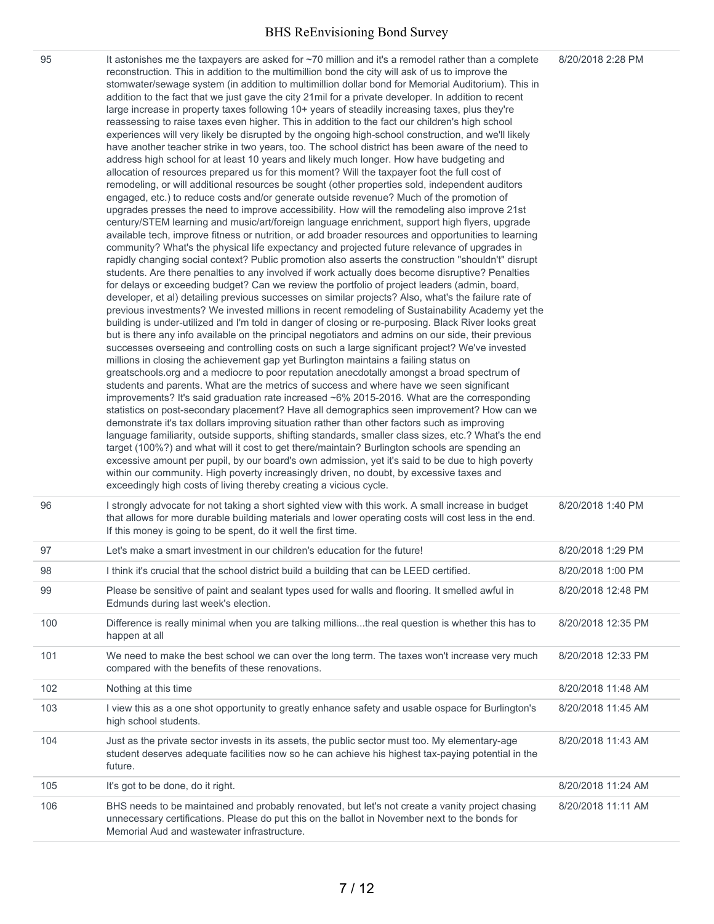| 95  | It astonishes me the taxpayers are asked for ~70 million and it's a remodel rather than a complete<br>reconstruction. This in addition to the multimillion bond the city will ask of us to improve the<br>stomwater/sewage system (in addition to multimillion dollar bond for Memorial Auditorium). This in<br>addition to the fact that we just gave the city 21mil for a private developer. In addition to recent<br>large increase in property taxes following 10+ years of steadily increasing taxes, plus they're<br>reassessing to raise taxes even higher. This in addition to the fact our children's high school<br>experiences will very likely be disrupted by the ongoing high-school construction, and we'll likely<br>have another teacher strike in two years, too. The school district has been aware of the need to<br>address high school for at least 10 years and likely much longer. How have budgeting and<br>allocation of resources prepared us for this moment? Will the taxpayer foot the full cost of<br>remodeling, or will additional resources be sought (other properties sold, independent auditors<br>engaged, etc.) to reduce costs and/or generate outside revenue? Much of the promotion of<br>upgrades presses the need to improve accessibility. How will the remodeling also improve 21st<br>century/STEM learning and music/art/foreign language enrichment, support high flyers, upgrade<br>available tech, improve fitness or nutrition, or add broader resources and opportunities to learning<br>community? What's the physical life expectancy and projected future relevance of upgrades in<br>rapidly changing social context? Public promotion also asserts the construction "shouldn't" disrupt<br>students. Are there penalties to any involved if work actually does become disruptive? Penalties<br>for delays or exceeding budget? Can we review the portfolio of project leaders (admin, board,<br>developer, et al) detailing previous successes on similar projects? Also, what's the failure rate of<br>previous investments? We invested millions in recent remodeling of Sustainability Academy yet the<br>building is under-utilized and I'm told in danger of closing or re-purposing. Black River looks great<br>but is there any info available on the principal negotiators and admins on our side, their previous<br>successes overseeing and controlling costs on such a large significant project? We've invested<br>millions in closing the achievement gap yet Burlington maintains a failing status on<br>greatschools.org and a mediocre to poor reputation anecdotally amongst a broad spectrum of<br>students and parents. What are the metrics of success and where have we seen significant<br>improvements? It's said graduation rate increased ~6% 2015-2016. What are the corresponding<br>statistics on post-secondary placement? Have all demographics seen improvement? How can we<br>demonstrate it's tax dollars improving situation rather than other factors such as improving<br>language familiarity, outside supports, shifting standards, smaller class sizes, etc.? What's the end<br>target (100%?) and what will it cost to get there/maintain? Burlington schools are spending an<br>excessive amount per pupil, by our board's own admission, yet it's said to be due to high poverty<br>within our community. High poverty increasingly driven, no doubt, by excessive taxes and<br>exceedingly high costs of living thereby creating a vicious cycle. | 8/20/2018 2:28 PM  |
|-----|--------------------------------------------------------------------------------------------------------------------------------------------------------------------------------------------------------------------------------------------------------------------------------------------------------------------------------------------------------------------------------------------------------------------------------------------------------------------------------------------------------------------------------------------------------------------------------------------------------------------------------------------------------------------------------------------------------------------------------------------------------------------------------------------------------------------------------------------------------------------------------------------------------------------------------------------------------------------------------------------------------------------------------------------------------------------------------------------------------------------------------------------------------------------------------------------------------------------------------------------------------------------------------------------------------------------------------------------------------------------------------------------------------------------------------------------------------------------------------------------------------------------------------------------------------------------------------------------------------------------------------------------------------------------------------------------------------------------------------------------------------------------------------------------------------------------------------------------------------------------------------------------------------------------------------------------------------------------------------------------------------------------------------------------------------------------------------------------------------------------------------------------------------------------------------------------------------------------------------------------------------------------------------------------------------------------------------------------------------------------------------------------------------------------------------------------------------------------------------------------------------------------------------------------------------------------------------------------------------------------------------------------------------------------------------------------------------------------------------------------------------------------------------------------------------------------------------------------------------------------------------------------------------------------------------------------------------------------------------------------------------------------------------------------------------------------------------------------------------------------------------------------------------------------------------------------------------------------------------------------------------------------------------------------------------------------------------------------------------------------------------------------------------------------------------------------------------------------------------------------------------------------------------------------------------|--------------------|
| 96  | I strongly advocate for not taking a short sighted view with this work. A small increase in budget<br>that allows for more durable building materials and lower operating costs will cost less in the end.<br>If this money is going to be spent, do it well the first time.                                                                                                                                                                                                                                                                                                                                                                                                                                                                                                                                                                                                                                                                                                                                                                                                                                                                                                                                                                                                                                                                                                                                                                                                                                                                                                                                                                                                                                                                                                                                                                                                                                                                                                                                                                                                                                                                                                                                                                                                                                                                                                                                                                                                                                                                                                                                                                                                                                                                                                                                                                                                                                                                                                                                                                                                                                                                                                                                                                                                                                                                                                                                                                                                                                                                           | 8/20/2018 1:40 PM  |
| 97  | Let's make a smart investment in our children's education for the future!                                                                                                                                                                                                                                                                                                                                                                                                                                                                                                                                                                                                                                                                                                                                                                                                                                                                                                                                                                                                                                                                                                                                                                                                                                                                                                                                                                                                                                                                                                                                                                                                                                                                                                                                                                                                                                                                                                                                                                                                                                                                                                                                                                                                                                                                                                                                                                                                                                                                                                                                                                                                                                                                                                                                                                                                                                                                                                                                                                                                                                                                                                                                                                                                                                                                                                                                                                                                                                                                              | 8/20/2018 1:29 PM  |
| 98  | I think it's crucial that the school district build a building that can be LEED certified.                                                                                                                                                                                                                                                                                                                                                                                                                                                                                                                                                                                                                                                                                                                                                                                                                                                                                                                                                                                                                                                                                                                                                                                                                                                                                                                                                                                                                                                                                                                                                                                                                                                                                                                                                                                                                                                                                                                                                                                                                                                                                                                                                                                                                                                                                                                                                                                                                                                                                                                                                                                                                                                                                                                                                                                                                                                                                                                                                                                                                                                                                                                                                                                                                                                                                                                                                                                                                                                             | 8/20/2018 1:00 PM  |
| 99  | Please be sensitive of paint and sealant types used for walls and flooring. It smelled awful in<br>Edmunds during last week's election.                                                                                                                                                                                                                                                                                                                                                                                                                                                                                                                                                                                                                                                                                                                                                                                                                                                                                                                                                                                                                                                                                                                                                                                                                                                                                                                                                                                                                                                                                                                                                                                                                                                                                                                                                                                                                                                                                                                                                                                                                                                                                                                                                                                                                                                                                                                                                                                                                                                                                                                                                                                                                                                                                                                                                                                                                                                                                                                                                                                                                                                                                                                                                                                                                                                                                                                                                                                                                | 8/20/2018 12:48 PM |
| 100 | Difference is really minimal when you are talking millionsthe real question is whether this has to<br>happen at all                                                                                                                                                                                                                                                                                                                                                                                                                                                                                                                                                                                                                                                                                                                                                                                                                                                                                                                                                                                                                                                                                                                                                                                                                                                                                                                                                                                                                                                                                                                                                                                                                                                                                                                                                                                                                                                                                                                                                                                                                                                                                                                                                                                                                                                                                                                                                                                                                                                                                                                                                                                                                                                                                                                                                                                                                                                                                                                                                                                                                                                                                                                                                                                                                                                                                                                                                                                                                                    | 8/20/2018 12:35 PM |
| 101 | We need to make the best school we can over the long term. The taxes won't increase very much<br>compared with the benefits of these renovations.                                                                                                                                                                                                                                                                                                                                                                                                                                                                                                                                                                                                                                                                                                                                                                                                                                                                                                                                                                                                                                                                                                                                                                                                                                                                                                                                                                                                                                                                                                                                                                                                                                                                                                                                                                                                                                                                                                                                                                                                                                                                                                                                                                                                                                                                                                                                                                                                                                                                                                                                                                                                                                                                                                                                                                                                                                                                                                                                                                                                                                                                                                                                                                                                                                                                                                                                                                                                      | 8/20/2018 12:33 PM |
| 102 | Nothing at this time                                                                                                                                                                                                                                                                                                                                                                                                                                                                                                                                                                                                                                                                                                                                                                                                                                                                                                                                                                                                                                                                                                                                                                                                                                                                                                                                                                                                                                                                                                                                                                                                                                                                                                                                                                                                                                                                                                                                                                                                                                                                                                                                                                                                                                                                                                                                                                                                                                                                                                                                                                                                                                                                                                                                                                                                                                                                                                                                                                                                                                                                                                                                                                                                                                                                                                                                                                                                                                                                                                                                   | 8/20/2018 11:48 AM |
| 103 | I view this as a one shot opportunity to greatly enhance safety and usable ospace for Burlington's<br>high school students.                                                                                                                                                                                                                                                                                                                                                                                                                                                                                                                                                                                                                                                                                                                                                                                                                                                                                                                                                                                                                                                                                                                                                                                                                                                                                                                                                                                                                                                                                                                                                                                                                                                                                                                                                                                                                                                                                                                                                                                                                                                                                                                                                                                                                                                                                                                                                                                                                                                                                                                                                                                                                                                                                                                                                                                                                                                                                                                                                                                                                                                                                                                                                                                                                                                                                                                                                                                                                            | 8/20/2018 11:45 AM |
| 104 | Just as the private sector invests in its assets, the public sector must too. My elementary-age<br>student deserves adequate facilities now so he can achieve his highest tax-paying potential in the                                                                                                                                                                                                                                                                                                                                                                                                                                                                                                                                                                                                                                                                                                                                                                                                                                                                                                                                                                                                                                                                                                                                                                                                                                                                                                                                                                                                                                                                                                                                                                                                                                                                                                                                                                                                                                                                                                                                                                                                                                                                                                                                                                                                                                                                                                                                                                                                                                                                                                                                                                                                                                                                                                                                                                                                                                                                                                                                                                                                                                                                                                                                                                                                                                                                                                                                                  | 8/20/2018 11:43 AM |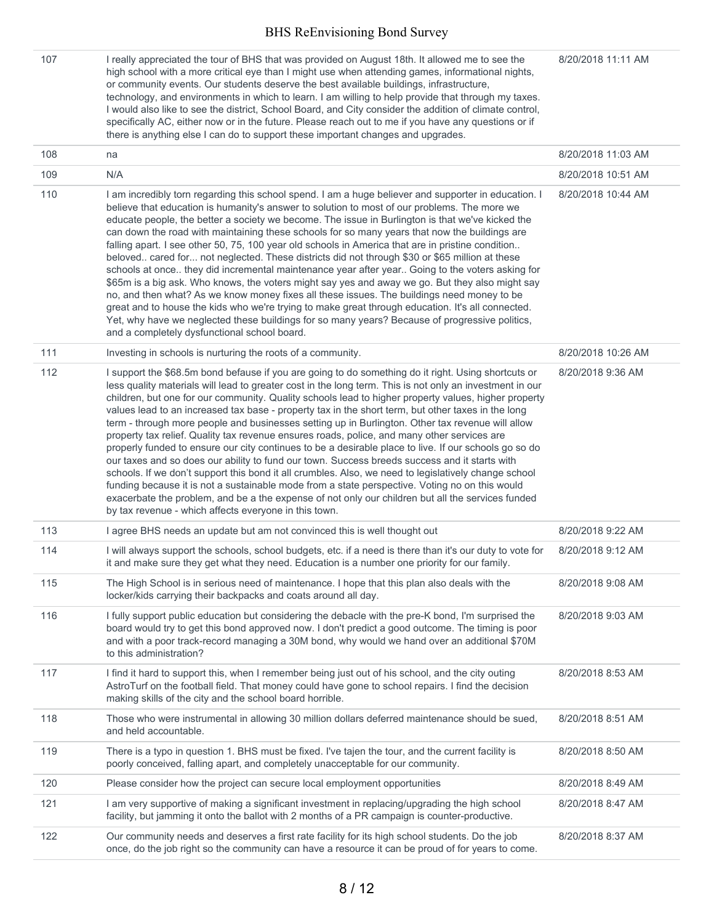| 107 | I really appreciated the tour of BHS that was provided on August 18th. It allowed me to see the<br>high school with a more critical eye than I might use when attending games, informational nights,<br>or community events. Our students deserve the best available buildings, infrastructure,<br>technology, and environments in which to learn. I am willing to help provide that through my taxes.<br>I would also like to see the district, School Board, and City consider the addition of climate control,<br>specifically AC, either now or in the future. Please reach out to me if you have any questions or if<br>there is anything else I can do to support these important changes and upgrades.                                                                                                                                                                                                                                                                                                                                                                                                                                                                                                      | 8/20/2018 11:11 AM |
|-----|--------------------------------------------------------------------------------------------------------------------------------------------------------------------------------------------------------------------------------------------------------------------------------------------------------------------------------------------------------------------------------------------------------------------------------------------------------------------------------------------------------------------------------------------------------------------------------------------------------------------------------------------------------------------------------------------------------------------------------------------------------------------------------------------------------------------------------------------------------------------------------------------------------------------------------------------------------------------------------------------------------------------------------------------------------------------------------------------------------------------------------------------------------------------------------------------------------------------|--------------------|
| 108 | na                                                                                                                                                                                                                                                                                                                                                                                                                                                                                                                                                                                                                                                                                                                                                                                                                                                                                                                                                                                                                                                                                                                                                                                                                 | 8/20/2018 11:03 AM |
| 109 | N/A                                                                                                                                                                                                                                                                                                                                                                                                                                                                                                                                                                                                                                                                                                                                                                                                                                                                                                                                                                                                                                                                                                                                                                                                                | 8/20/2018 10:51 AM |
| 110 | I am incredibly torn regarding this school spend. I am a huge believer and supporter in education. I<br>believe that education is humanity's answer to solution to most of our problems. The more we<br>educate people, the better a society we become. The issue in Burlington is that we've kicked the<br>can down the road with maintaining these schools for so many years that now the buildings are<br>falling apart. I see other 50, 75, 100 year old schools in America that are in pristine condition<br>beloved cared for not neglected. These districts did not through \$30 or \$65 million at these<br>schools at once they did incremental maintenance year after year Going to the voters asking for<br>\$65m is a big ask. Who knows, the voters might say yes and away we go. But they also might say<br>no, and then what? As we know money fixes all these issues. The buildings need money to be<br>great and to house the kids who we're trying to make great through education. It's all connected.<br>Yet, why have we neglected these buildings for so many years? Because of progressive politics,<br>and a completely dysfunctional school board.                                        | 8/20/2018 10:44 AM |
| 111 | Investing in schools is nurturing the roots of a community.                                                                                                                                                                                                                                                                                                                                                                                                                                                                                                                                                                                                                                                                                                                                                                                                                                                                                                                                                                                                                                                                                                                                                        | 8/20/2018 10:26 AM |
| 112 | I support the \$68.5m bond befause if you are going to do something do it right. Using shortcuts or<br>less quality materials will lead to greater cost in the long term. This is not only an investment in our<br>children, but one for our community. Quality schools lead to higher property values, higher property<br>values lead to an increased tax base - property tax in the short term, but other taxes in the long<br>term - through more people and businesses setting up in Burlington. Other tax revenue will allow<br>property tax relief. Quality tax revenue ensures roads, police, and many other services are<br>properly funded to ensure our city continues to be a desirable place to live. If our schools go so do<br>our taxes and so does our ability to fund our town. Success breeds success and it starts with<br>schools. If we don't support this bond it all crumbles. Also, we need to legislatively change school<br>funding because it is not a sustainable mode from a state perspective. Voting no on this would<br>exacerbate the problem, and be a the expense of not only our children but all the services funded<br>by tax revenue - which affects everyone in this town. | 8/20/2018 9:36 AM  |
| 113 | I agree BHS needs an update but am not convinced this is well thought out                                                                                                                                                                                                                                                                                                                                                                                                                                                                                                                                                                                                                                                                                                                                                                                                                                                                                                                                                                                                                                                                                                                                          | 8/20/2018 9:22 AM  |
| 114 | I will always support the schools, school budgets, etc. if a need is there than it's our duty to vote for<br>it and make sure they get what they need. Education is a number one priority for our family.                                                                                                                                                                                                                                                                                                                                                                                                                                                                                                                                                                                                                                                                                                                                                                                                                                                                                                                                                                                                          | 8/20/2018 9:12 AM  |
| 115 | The High School is in serious need of maintenance. I hope that this plan also deals with the<br>locker/kids carrying their backpacks and coats around all day.                                                                                                                                                                                                                                                                                                                                                                                                                                                                                                                                                                                                                                                                                                                                                                                                                                                                                                                                                                                                                                                     | 8/20/2018 9:08 AM  |
| 116 | I fully support public education but considering the debacle with the pre-K bond, I'm surprised the<br>board would try to get this bond approved now. I don't predict a good outcome. The timing is poor<br>and with a poor track-record managing a 30M bond, why would we hand over an additional \$70M<br>to this administration?                                                                                                                                                                                                                                                                                                                                                                                                                                                                                                                                                                                                                                                                                                                                                                                                                                                                                | 8/20/2018 9:03 AM  |
| 117 | I find it hard to support this, when I remember being just out of his school, and the city outing<br>AstroTurf on the football field. That money could have gone to school repairs. I find the decision<br>making skills of the city and the school board horrible.                                                                                                                                                                                                                                                                                                                                                                                                                                                                                                                                                                                                                                                                                                                                                                                                                                                                                                                                                | 8/20/2018 8:53 AM  |
| 118 | Those who were instrumental in allowing 30 million dollars deferred maintenance should be sued,<br>and held accountable.                                                                                                                                                                                                                                                                                                                                                                                                                                                                                                                                                                                                                                                                                                                                                                                                                                                                                                                                                                                                                                                                                           | 8/20/2018 8:51 AM  |
| 119 | There is a typo in question 1. BHS must be fixed. I've tajen the tour, and the current facility is<br>poorly conceived, falling apart, and completely unacceptable for our community.                                                                                                                                                                                                                                                                                                                                                                                                                                                                                                                                                                                                                                                                                                                                                                                                                                                                                                                                                                                                                              | 8/20/2018 8:50 AM  |
| 120 | Please consider how the project can secure local employment opportunities                                                                                                                                                                                                                                                                                                                                                                                                                                                                                                                                                                                                                                                                                                                                                                                                                                                                                                                                                                                                                                                                                                                                          | 8/20/2018 8:49 AM  |
| 121 | I am very supportive of making a significant investment in replacing/upgrading the high school<br>facility, but jamming it onto the ballot with 2 months of a PR campaign is counter-productive.                                                                                                                                                                                                                                                                                                                                                                                                                                                                                                                                                                                                                                                                                                                                                                                                                                                                                                                                                                                                                   | 8/20/2018 8:47 AM  |
| 122 | Our community needs and deserves a first rate facility for its high school students. Do the job<br>once, do the job right so the community can have a resource it can be proud of for years to come.                                                                                                                                                                                                                                                                                                                                                                                                                                                                                                                                                                                                                                                                                                                                                                                                                                                                                                                                                                                                               | 8/20/2018 8:37 AM  |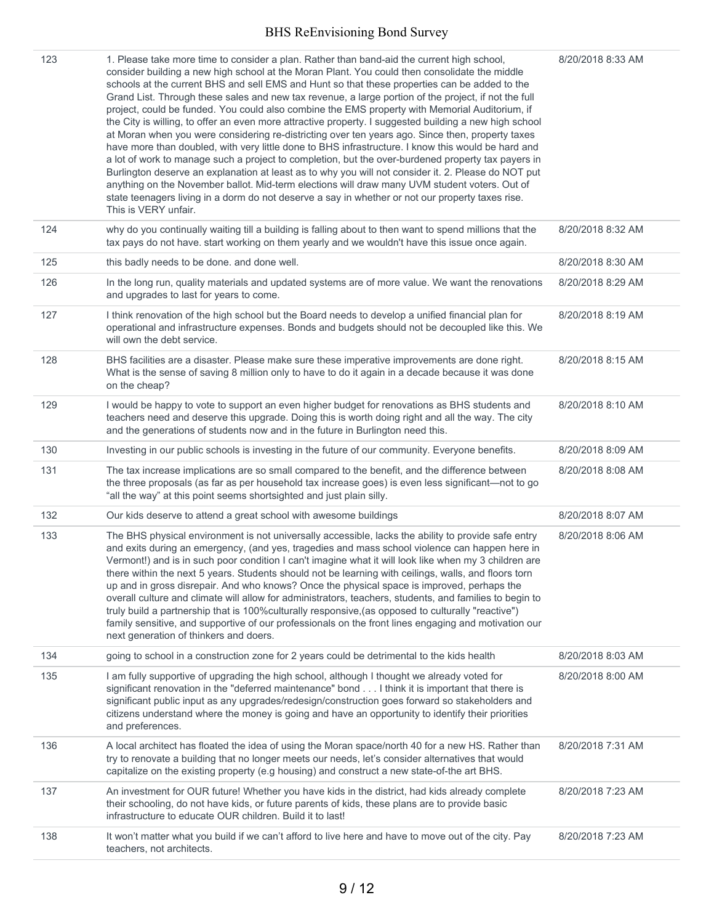| 123 | 1. Please take more time to consider a plan. Rather than band-aid the current high school,<br>consider building a new high school at the Moran Plant. You could then consolidate the middle<br>schools at the current BHS and sell EMS and Hunt so that these properties can be added to the<br>Grand List. Through these sales and new tax revenue, a large portion of the project, if not the full<br>project, could be funded. You could also combine the EMS property with Memorial Auditorium, if<br>the City is willing, to offer an even more attractive property. I suggested building a new high school<br>at Moran when you were considering re-districting over ten years ago. Since then, property taxes<br>have more than doubled, with very little done to BHS infrastructure. I know this would be hard and<br>a lot of work to manage such a project to completion, but the over-burdened property tax payers in<br>Burlington deserve an explanation at least as to why you will not consider it. 2. Please do NOT put<br>anything on the November ballot. Mid-term elections will draw many UVM student voters. Out of<br>state teenagers living in a dorm do not deserve a say in whether or not our property taxes rise.<br>This is VERY unfair. | 8/20/2018 8:33 AM |
|-----|----------------------------------------------------------------------------------------------------------------------------------------------------------------------------------------------------------------------------------------------------------------------------------------------------------------------------------------------------------------------------------------------------------------------------------------------------------------------------------------------------------------------------------------------------------------------------------------------------------------------------------------------------------------------------------------------------------------------------------------------------------------------------------------------------------------------------------------------------------------------------------------------------------------------------------------------------------------------------------------------------------------------------------------------------------------------------------------------------------------------------------------------------------------------------------------------------------------------------------------------------------------------|-------------------|
| 124 | why do you continually waiting till a building is falling about to then want to spend millions that the<br>tax pays do not have. start working on them yearly and we wouldn't have this issue once again.                                                                                                                                                                                                                                                                                                                                                                                                                                                                                                                                                                                                                                                                                                                                                                                                                                                                                                                                                                                                                                                            | 8/20/2018 8:32 AM |
| 125 | this badly needs to be done. and done well.                                                                                                                                                                                                                                                                                                                                                                                                                                                                                                                                                                                                                                                                                                                                                                                                                                                                                                                                                                                                                                                                                                                                                                                                                          | 8/20/2018 8:30 AM |
| 126 | In the long run, quality materials and updated systems are of more value. We want the renovations<br>and upgrades to last for years to come.                                                                                                                                                                                                                                                                                                                                                                                                                                                                                                                                                                                                                                                                                                                                                                                                                                                                                                                                                                                                                                                                                                                         | 8/20/2018 8:29 AM |
| 127 | I think renovation of the high school but the Board needs to develop a unified financial plan for<br>operational and infrastructure expenses. Bonds and budgets should not be decoupled like this. We<br>will own the debt service.                                                                                                                                                                                                                                                                                                                                                                                                                                                                                                                                                                                                                                                                                                                                                                                                                                                                                                                                                                                                                                  | 8/20/2018 8:19 AM |
| 128 | BHS facilities are a disaster. Please make sure these imperative improvements are done right.<br>What is the sense of saving 8 million only to have to do it again in a decade because it was done<br>on the cheap?                                                                                                                                                                                                                                                                                                                                                                                                                                                                                                                                                                                                                                                                                                                                                                                                                                                                                                                                                                                                                                                  | 8/20/2018 8:15 AM |
| 129 | I would be happy to vote to support an even higher budget for renovations as BHS students and<br>teachers need and deserve this upgrade. Doing this is worth doing right and all the way. The city<br>and the generations of students now and in the future in Burlington need this.                                                                                                                                                                                                                                                                                                                                                                                                                                                                                                                                                                                                                                                                                                                                                                                                                                                                                                                                                                                 | 8/20/2018 8:10 AM |
| 130 | Investing in our public schools is investing in the future of our community. Everyone benefits.                                                                                                                                                                                                                                                                                                                                                                                                                                                                                                                                                                                                                                                                                                                                                                                                                                                                                                                                                                                                                                                                                                                                                                      | 8/20/2018 8:09 AM |
| 131 | The tax increase implications are so small compared to the benefit, and the difference between<br>the three proposals (as far as per household tax increase goes) is even less significant-not to go<br>"all the way" at this point seems shortsighted and just plain silly.                                                                                                                                                                                                                                                                                                                                                                                                                                                                                                                                                                                                                                                                                                                                                                                                                                                                                                                                                                                         | 8/20/2018 8:08 AM |
| 132 | Our kids deserve to attend a great school with awesome buildings                                                                                                                                                                                                                                                                                                                                                                                                                                                                                                                                                                                                                                                                                                                                                                                                                                                                                                                                                                                                                                                                                                                                                                                                     | 8/20/2018 8:07 AM |
| 133 | The BHS physical environment is not universally accessible, lacks the ability to provide safe entry<br>and exits during an emergency, (and yes, tragedies and mass school violence can happen here in<br>Vermont!) and is in such poor condition I can't imagine what it will look like when my 3 children are<br>there within the next 5 years. Students should not be learning with ceilings, walls, and floors torn<br>up and in gross disrepair. And who knows? Once the physical space is improved, perhaps the<br>overall culture and climate will allow for administrators, teachers, students, and families to begin to<br>truly build a partnership that is 100% culturally responsive, (as opposed to culturally "reactive")<br>family sensitive, and supportive of our professionals on the front lines engaging and motivation our<br>next generation of thinkers and doers.                                                                                                                                                                                                                                                                                                                                                                             | 8/20/2018 8:06 AM |
| 134 | going to school in a construction zone for 2 years could be detrimental to the kids health                                                                                                                                                                                                                                                                                                                                                                                                                                                                                                                                                                                                                                                                                                                                                                                                                                                                                                                                                                                                                                                                                                                                                                           | 8/20/2018 8:03 AM |
| 135 | I am fully supportive of upgrading the high school, although I thought we already voted for<br>significant renovation in the "deferred maintenance" bond I think it is important that there is<br>significant public input as any upgrades/redesign/construction goes forward so stakeholders and<br>citizens understand where the money is going and have an opportunity to identify their priorities<br>and preferences.                                                                                                                                                                                                                                                                                                                                                                                                                                                                                                                                                                                                                                                                                                                                                                                                                                           | 8/20/2018 8:00 AM |
| 136 | A local architect has floated the idea of using the Moran space/north 40 for a new HS. Rather than<br>try to renovate a building that no longer meets our needs, let's consider alternatives that would<br>capitalize on the existing property (e.g housing) and construct a new state-of-the art BHS.                                                                                                                                                                                                                                                                                                                                                                                                                                                                                                                                                                                                                                                                                                                                                                                                                                                                                                                                                               | 8/20/2018 7:31 AM |
| 137 | An investment for OUR future! Whether you have kids in the district, had kids already complete<br>their schooling, do not have kids, or future parents of kids, these plans are to provide basic<br>infrastructure to educate OUR children. Build it to last!                                                                                                                                                                                                                                                                                                                                                                                                                                                                                                                                                                                                                                                                                                                                                                                                                                                                                                                                                                                                        | 8/20/2018 7:23 AM |
| 138 | It won't matter what you build if we can't afford to live here and have to move out of the city. Pay<br>teachers, not architects.                                                                                                                                                                                                                                                                                                                                                                                                                                                                                                                                                                                                                                                                                                                                                                                                                                                                                                                                                                                                                                                                                                                                    | 8/20/2018 7:23 AM |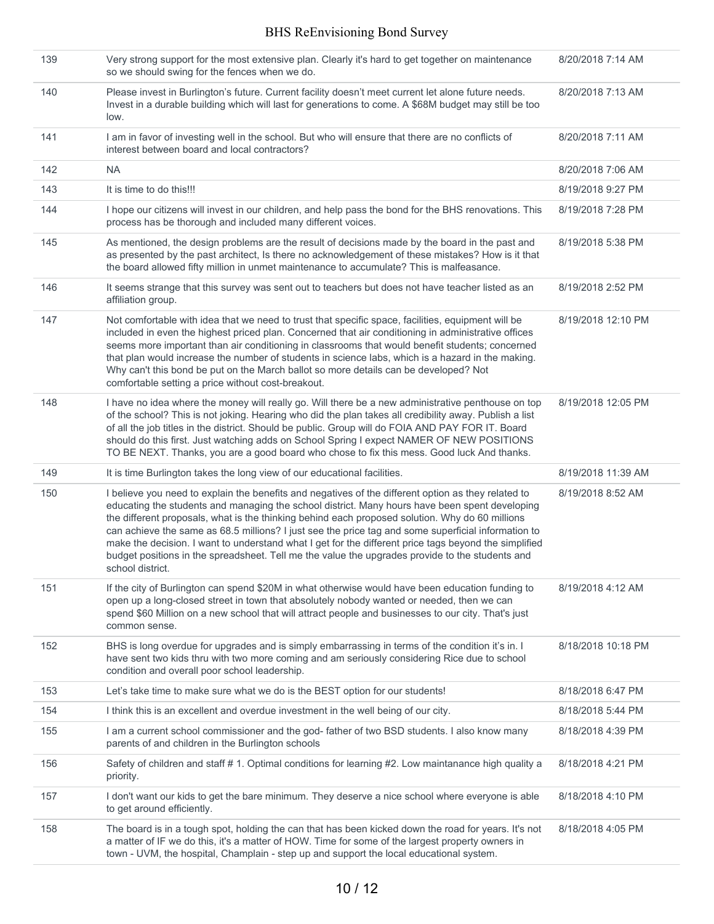| 139 | Very strong support for the most extensive plan. Clearly it's hard to get together on maintenance<br>so we should swing for the fences when we do.                                                                                                                                                                                                                                                                                                                                                                                                                                                                                              | 8/20/2018 7:14 AM  |
|-----|-------------------------------------------------------------------------------------------------------------------------------------------------------------------------------------------------------------------------------------------------------------------------------------------------------------------------------------------------------------------------------------------------------------------------------------------------------------------------------------------------------------------------------------------------------------------------------------------------------------------------------------------------|--------------------|
| 140 | Please invest in Burlington's future. Current facility doesn't meet current let alone future needs.<br>Invest in a durable building which will last for generations to come. A \$68M budget may still be too<br>low.                                                                                                                                                                                                                                                                                                                                                                                                                            | 8/20/2018 7:13 AM  |
| 141 | I am in favor of investing well in the school. But who will ensure that there are no conflicts of<br>interest between board and local contractors?                                                                                                                                                                                                                                                                                                                                                                                                                                                                                              | 8/20/2018 7:11 AM  |
| 142 | <b>NA</b>                                                                                                                                                                                                                                                                                                                                                                                                                                                                                                                                                                                                                                       | 8/20/2018 7:06 AM  |
| 143 | It is time to do this!!!                                                                                                                                                                                                                                                                                                                                                                                                                                                                                                                                                                                                                        | 8/19/2018 9:27 PM  |
| 144 | I hope our citizens will invest in our children, and help pass the bond for the BHS renovations. This<br>process has be thorough and included many different voices.                                                                                                                                                                                                                                                                                                                                                                                                                                                                            | 8/19/2018 7:28 PM  |
| 145 | As mentioned, the design problems are the result of decisions made by the board in the past and<br>as presented by the past architect, Is there no acknowledgement of these mistakes? How is it that<br>the board allowed fifty million in unmet maintenance to accumulate? This is malfeasance.                                                                                                                                                                                                                                                                                                                                                | 8/19/2018 5:38 PM  |
| 146 | It seems strange that this survey was sent out to teachers but does not have teacher listed as an<br>affiliation group.                                                                                                                                                                                                                                                                                                                                                                                                                                                                                                                         | 8/19/2018 2:52 PM  |
| 147 | Not comfortable with idea that we need to trust that specific space, facilities, equipment will be<br>included in even the highest priced plan. Concerned that air conditioning in administrative offices<br>seems more important than air conditioning in classrooms that would benefit students; concerned<br>that plan would increase the number of students in science labs, which is a hazard in the making.<br>Why can't this bond be put on the March ballot so more details can be developed? Not<br>comfortable setting a price without cost-breakout.                                                                                 | 8/19/2018 12:10 PM |
| 148 | I have no idea where the money will really go. Will there be a new administrative penthouse on top<br>of the school? This is not joking. Hearing who did the plan takes all credibility away. Publish a list<br>of all the job titles in the district. Should be public. Group will do FOIA AND PAY FOR IT. Board<br>should do this first. Just watching adds on School Spring I expect NAMER OF NEW POSITIONS<br>TO BE NEXT. Thanks, you are a good board who chose to fix this mess. Good luck And thanks.                                                                                                                                    | 8/19/2018 12:05 PM |
| 149 | It is time Burlington takes the long view of our educational facilities.                                                                                                                                                                                                                                                                                                                                                                                                                                                                                                                                                                        | 8/19/2018 11:39 AM |
| 150 | I believe you need to explain the benefits and negatives of the different option as they related to<br>educating the students and managing the school district. Many hours have been spent developing<br>the different proposals, what is the thinking behind each proposed solution. Why do 60 millions<br>can achieve the same as 68.5 millions? I just see the price tag and some superficial information to<br>make the decision. I want to understand what I get for the different price tags beyond the simplified<br>budget positions in the spreadsheet. Tell me the value the upgrades provide to the students and<br>school district. | 8/19/2018 8:52 AM  |
| 151 | If the city of Burlington can spend \$20M in what otherwise would have been education funding to<br>open up a long-closed street in town that absolutely nobody wanted or needed, then we can<br>spend \$60 Million on a new school that will attract people and businesses to our city. That's just<br>common sense.                                                                                                                                                                                                                                                                                                                           | 8/19/2018 4:12 AM  |
| 152 | BHS is long overdue for upgrades and is simply embarrassing in terms of the condition it's in. I<br>have sent two kids thru with two more coming and am seriously considering Rice due to school<br>condition and overall poor school leadership.                                                                                                                                                                                                                                                                                                                                                                                               | 8/18/2018 10:18 PM |
| 153 | Let's take time to make sure what we do is the BEST option for our students!                                                                                                                                                                                                                                                                                                                                                                                                                                                                                                                                                                    | 8/18/2018 6:47 PM  |
| 154 | I think this is an excellent and overdue investment in the well being of our city.                                                                                                                                                                                                                                                                                                                                                                                                                                                                                                                                                              | 8/18/2018 5:44 PM  |
| 155 | I am a current school commissioner and the god-father of two BSD students. I also know many<br>parents of and children in the Burlington schools                                                                                                                                                                                                                                                                                                                                                                                                                                                                                                | 8/18/2018 4:39 PM  |
| 156 | Safety of children and staff # 1. Optimal conditions for learning #2. Low maintanance high quality a<br>priority.                                                                                                                                                                                                                                                                                                                                                                                                                                                                                                                               | 8/18/2018 4:21 PM  |
| 157 | I don't want our kids to get the bare minimum. They deserve a nice school where everyone is able<br>to get around efficiently.                                                                                                                                                                                                                                                                                                                                                                                                                                                                                                                  | 8/18/2018 4:10 PM  |
| 158 | The board is in a tough spot, holding the can that has been kicked down the road for years. It's not<br>a matter of IF we do this, it's a matter of HOW. Time for some of the largest property owners in<br>town - UVM, the hospital, Champlain - step up and support the local educational system.                                                                                                                                                                                                                                                                                                                                             | 8/18/2018 4:05 PM  |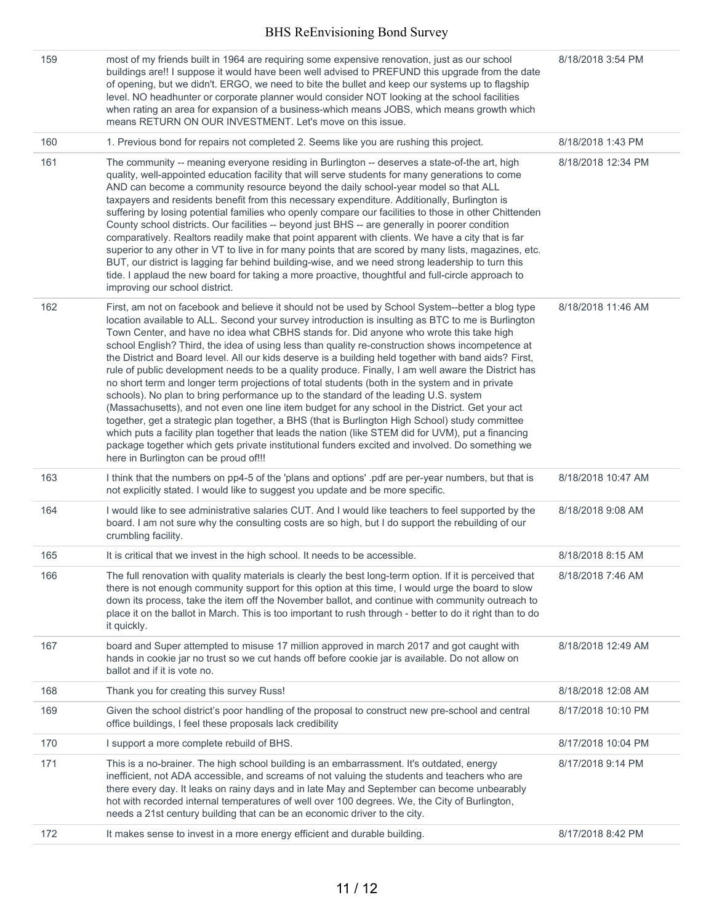| 159 | most of my friends built in 1964 are requiring some expensive renovation, just as our school<br>buildings are!! I suppose it would have been well advised to PREFUND this upgrade from the date<br>of opening, but we didn't. ERGO, we need to bite the bullet and keep our systems up to flagship<br>level. NO headhunter or corporate planner would consider NOT looking at the school facilities<br>when rating an area for expansion of a business-which means JOBS, which means growth which<br>means RETURN ON OUR INVESTMENT. Let's move on this issue.                                                                                                                                                                                                                                                                                                                                                                                                                                                                                                                                                                                                                                                                                                          | 8/18/2018 3:54 PM  |
|-----|-------------------------------------------------------------------------------------------------------------------------------------------------------------------------------------------------------------------------------------------------------------------------------------------------------------------------------------------------------------------------------------------------------------------------------------------------------------------------------------------------------------------------------------------------------------------------------------------------------------------------------------------------------------------------------------------------------------------------------------------------------------------------------------------------------------------------------------------------------------------------------------------------------------------------------------------------------------------------------------------------------------------------------------------------------------------------------------------------------------------------------------------------------------------------------------------------------------------------------------------------------------------------|--------------------|
| 160 | 1. Previous bond for repairs not completed 2. Seems like you are rushing this project.                                                                                                                                                                                                                                                                                                                                                                                                                                                                                                                                                                                                                                                                                                                                                                                                                                                                                                                                                                                                                                                                                                                                                                                  | 8/18/2018 1:43 PM  |
| 161 | The community -- meaning everyone residing in Burlington -- deserves a state-of-the art, high<br>quality, well-appointed education facility that will serve students for many generations to come<br>AND can become a community resource beyond the daily school-year model so that ALL<br>taxpayers and residents benefit from this necessary expenditure. Additionally, Burlington is<br>suffering by losing potential families who openly compare our facilities to those in other Chittenden<br>County school districts. Our facilities -- beyond just BHS -- are generally in poorer condition<br>comparatively. Realtors readily make that point apparent with clients. We have a city that is far<br>superior to any other in VT to live in for many points that are scored by many lists, magazines, etc.<br>BUT, our district is lagging far behind building-wise, and we need strong leadership to turn this<br>tide. I applaud the new board for taking a more proactive, thoughtful and full-circle approach to<br>improving our school district.                                                                                                                                                                                                           | 8/18/2018 12:34 PM |
| 162 | First, am not on facebook and believe it should not be used by School System--better a blog type<br>location available to ALL. Second your survey introduction is insulting as BTC to me is Burlington<br>Town Center, and have no idea what CBHS stands for. Did anyone who wrote this take high<br>school English? Third, the idea of using less than quality re-construction shows incompetence at<br>the District and Board level. All our kids deserve is a building held together with band aids? First,<br>rule of public development needs to be a quality produce. Finally, I am well aware the District has<br>no short term and longer term projections of total students (both in the system and in private<br>schools). No plan to bring performance up to the standard of the leading U.S. system<br>(Massachusetts), and not even one line item budget for any school in the District. Get your act<br>together, get a strategic plan together, a BHS (that is Burlington High School) study committee<br>which puts a facility plan together that leads the nation (like STEM did for UVM), put a financing<br>package together which gets private institutional funders excited and involved. Do something we<br>here in Burlington can be proud of!!! | 8/18/2018 11:46 AM |
| 163 | I think that the numbers on pp4-5 of the 'plans and options' .pdf are per-year numbers, but that is<br>not explicitly stated. I would like to suggest you update and be more specific.                                                                                                                                                                                                                                                                                                                                                                                                                                                                                                                                                                                                                                                                                                                                                                                                                                                                                                                                                                                                                                                                                  | 8/18/2018 10:47 AM |
| 164 | I would like to see administrative salaries CUT. And I would like teachers to feel supported by the<br>board. I am not sure why the consulting costs are so high, but I do support the rebuilding of our<br>crumbling facility.                                                                                                                                                                                                                                                                                                                                                                                                                                                                                                                                                                                                                                                                                                                                                                                                                                                                                                                                                                                                                                         | 8/18/2018 9:08 AM  |
| 165 | It is critical that we invest in the high school. It needs to be accessible.                                                                                                                                                                                                                                                                                                                                                                                                                                                                                                                                                                                                                                                                                                                                                                                                                                                                                                                                                                                                                                                                                                                                                                                            | 8/18/2018 8:15 AM  |
| 166 | The full renovation with quality materials is clearly the best long-term option. If it is perceived that<br>there is not enough community support for this option at this time, I would urge the board to slow<br>down its process, take the item off the November ballot, and continue with community outreach to<br>place it on the ballot in March. This is too important to rush through - better to do it right than to do<br>it quickly.                                                                                                                                                                                                                                                                                                                                                                                                                                                                                                                                                                                                                                                                                                                                                                                                                          | 8/18/2018 7:46 AM  |
| 167 | board and Super attempted to misuse 17 million approved in march 2017 and got caught with<br>hands in cookie jar no trust so we cut hands off before cookie jar is available. Do not allow on<br>ballot and if it is vote no.                                                                                                                                                                                                                                                                                                                                                                                                                                                                                                                                                                                                                                                                                                                                                                                                                                                                                                                                                                                                                                           | 8/18/2018 12:49 AM |
| 168 | Thank you for creating this survey Russ!                                                                                                                                                                                                                                                                                                                                                                                                                                                                                                                                                                                                                                                                                                                                                                                                                                                                                                                                                                                                                                                                                                                                                                                                                                | 8/18/2018 12:08 AM |
| 169 | Given the school district's poor handling of the proposal to construct new pre-school and central<br>office buildings, I feel these proposals lack credibility                                                                                                                                                                                                                                                                                                                                                                                                                                                                                                                                                                                                                                                                                                                                                                                                                                                                                                                                                                                                                                                                                                          | 8/17/2018 10:10 PM |
| 170 | I support a more complete rebuild of BHS.                                                                                                                                                                                                                                                                                                                                                                                                                                                                                                                                                                                                                                                                                                                                                                                                                                                                                                                                                                                                                                                                                                                                                                                                                               | 8/17/2018 10:04 PM |
| 171 | This is a no-brainer. The high school building is an embarrassment. It's outdated, energy<br>inefficient, not ADA accessible, and screams of not valuing the students and teachers who are<br>there every day. It leaks on rainy days and in late May and September can become unbearably<br>hot with recorded internal temperatures of well over 100 degrees. We, the City of Burlington,<br>needs a 21st century building that can be an economic driver to the city.                                                                                                                                                                                                                                                                                                                                                                                                                                                                                                                                                                                                                                                                                                                                                                                                 | 8/17/2018 9:14 PM  |
| 172 | It makes sense to invest in a more energy efficient and durable building.                                                                                                                                                                                                                                                                                                                                                                                                                                                                                                                                                                                                                                                                                                                                                                                                                                                                                                                                                                                                                                                                                                                                                                                               | 8/17/2018 8:42 PM  |